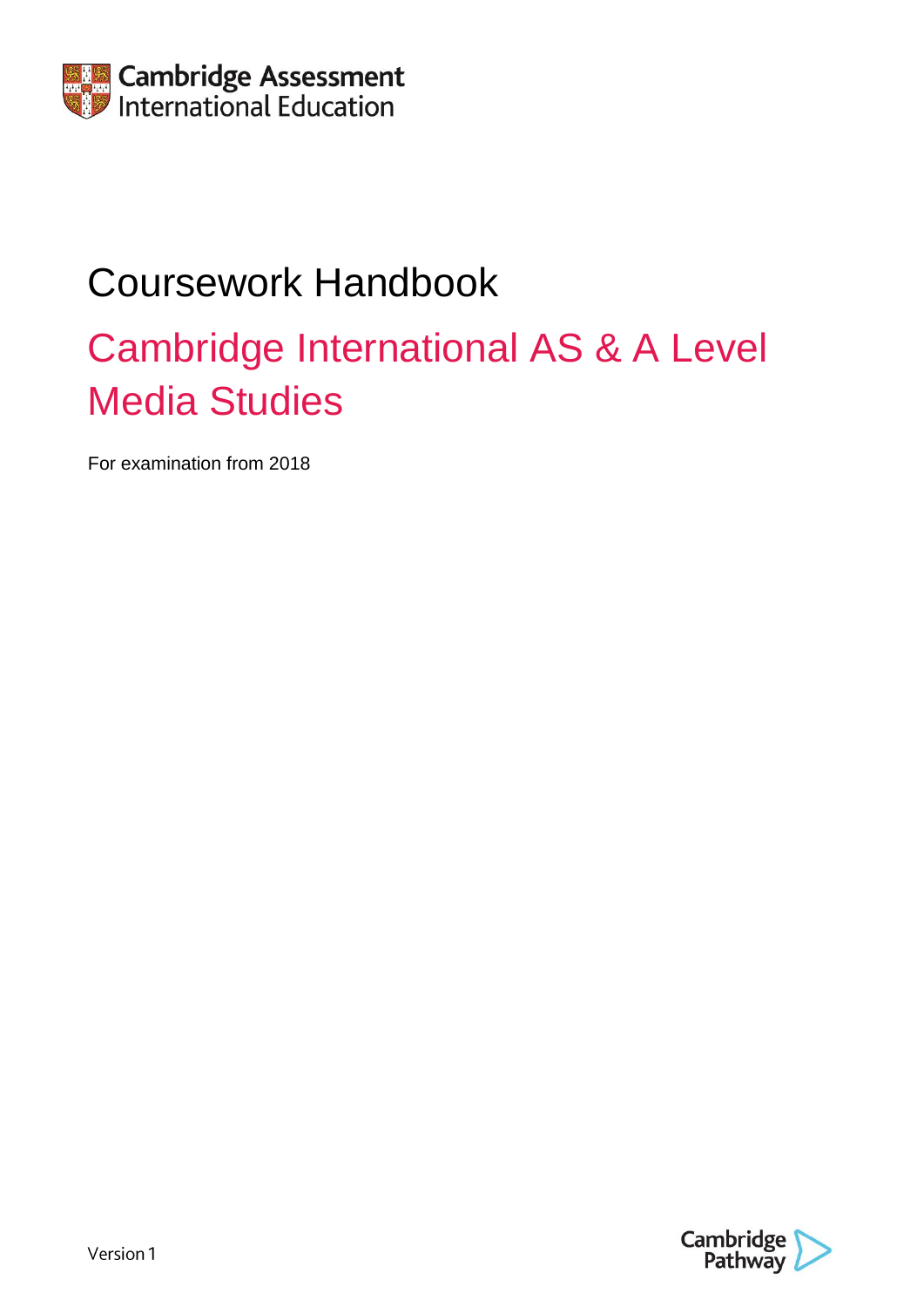

# Coursework Handbook

# Cambridge International AS & A Level Media Studies

For examination from 2018

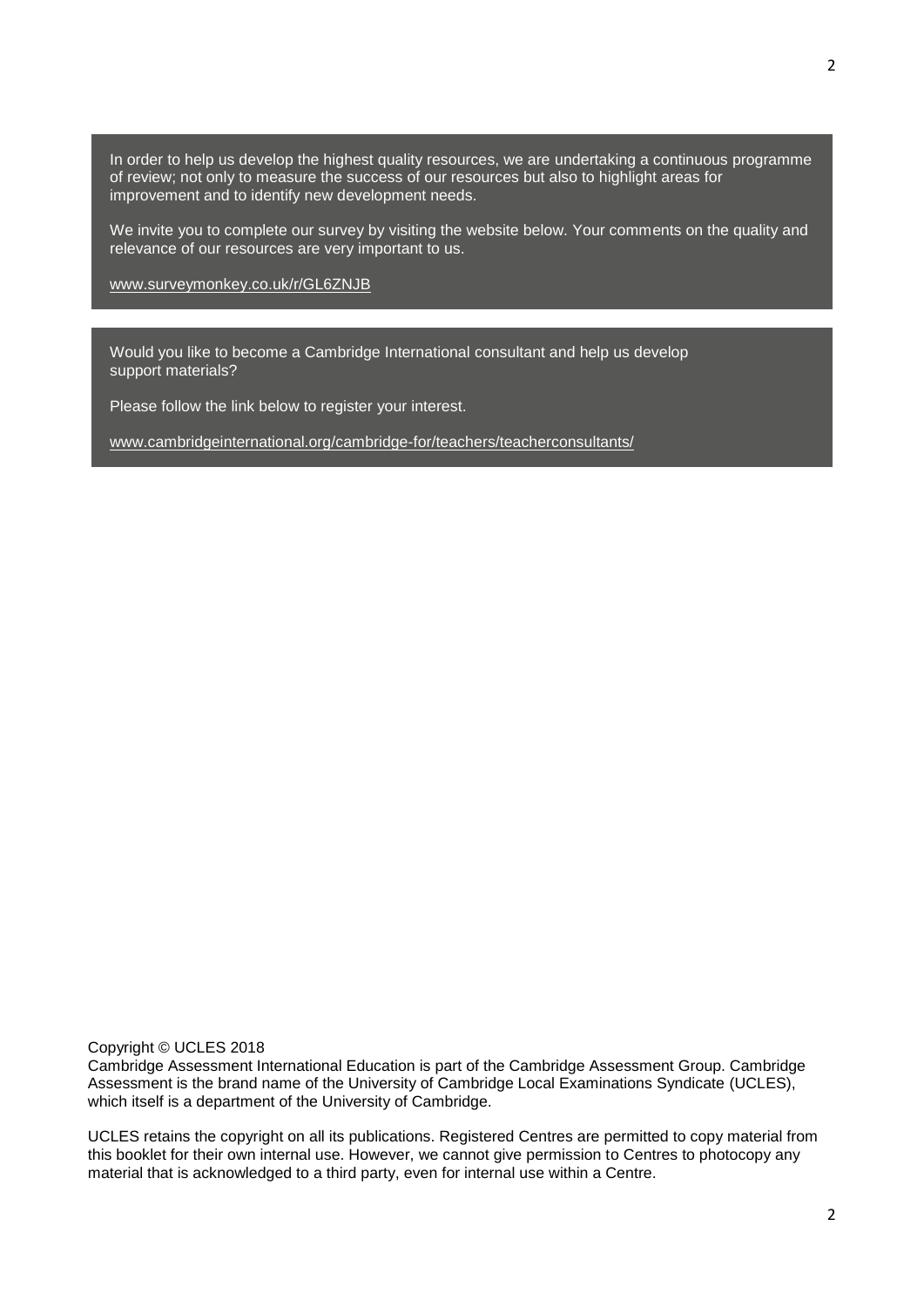In order to help us develop the highest quality resources, we are undertaking a continuous programme of review; not only to measure the success of our resources but also to highlight areas for improvement and to identify new development needs.

We invite you to complete our survey by visiting the website below. Your comments on the quality and relevance of our resources are very important to us.

[www.surveymonkey.co.uk/r/GL6ZNJB](http://www.surveymonkey.co.uk/r/GL6ZNJB)

Would you like to become a Cambridge International consultant and help us develop support materials?

Please follow the link below to register your interest.

[www.cambridgeinternational.org/cambridge-for/teachers/teacherconsultants/](http://www.cambridgeinternational.org/cambridge-for/teachers/teacherconsultants/)

Copyright © UCLES 2018

Cambridge Assessment International Education is part of the Cambridge Assessment Group. Cambridge Assessment is the brand name of the University of Cambridge Local Examinations Syndicate (UCLES), which itself is a department of the University of Cambridge.

UCLES retains the copyright on all its publications. Registered Centres are permitted to copy material from this booklet for their own internal use. However, we cannot give permission to Centres to photocopy any material that is acknowledged to a third party, even for internal use within a Centre.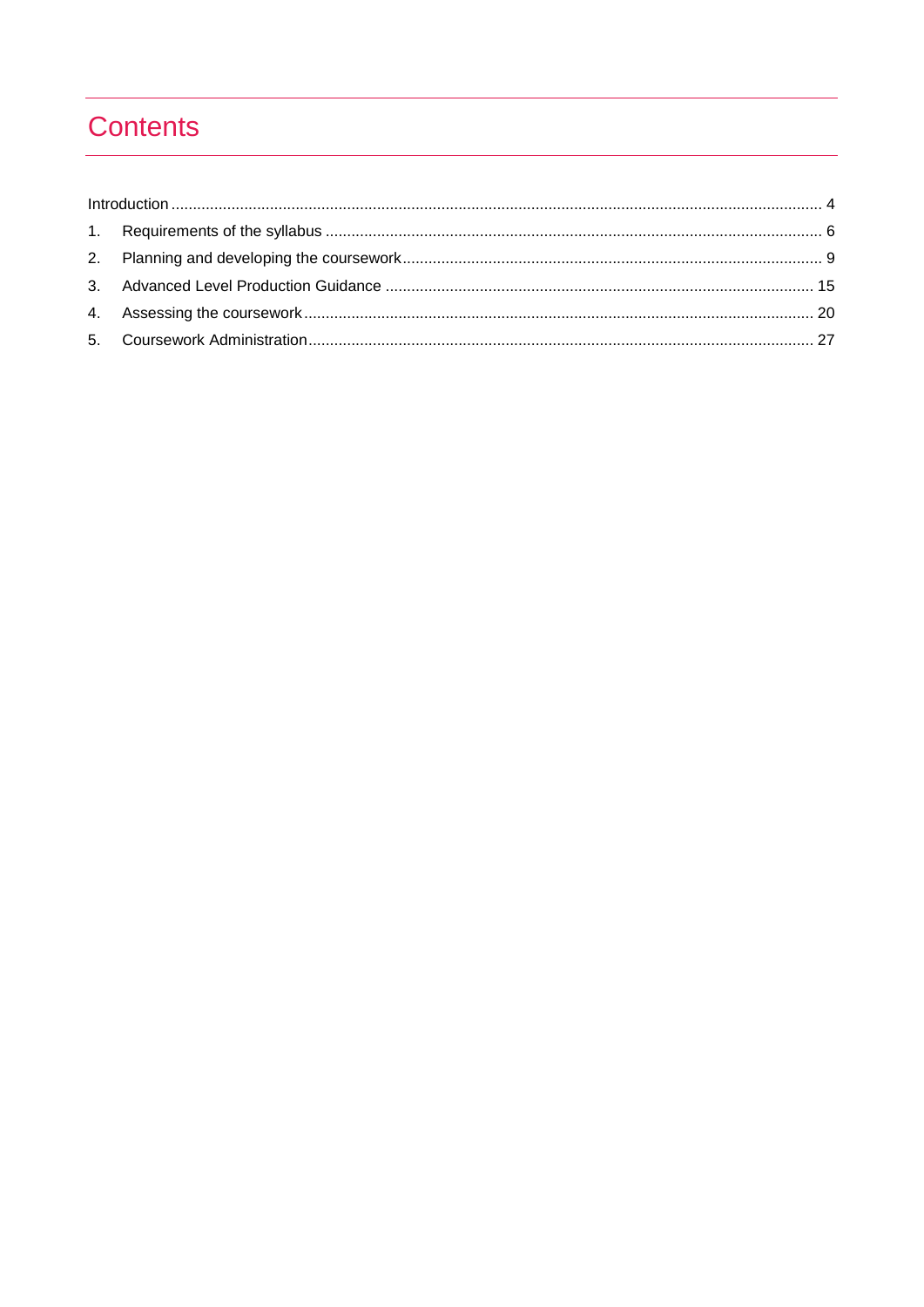# **Contents**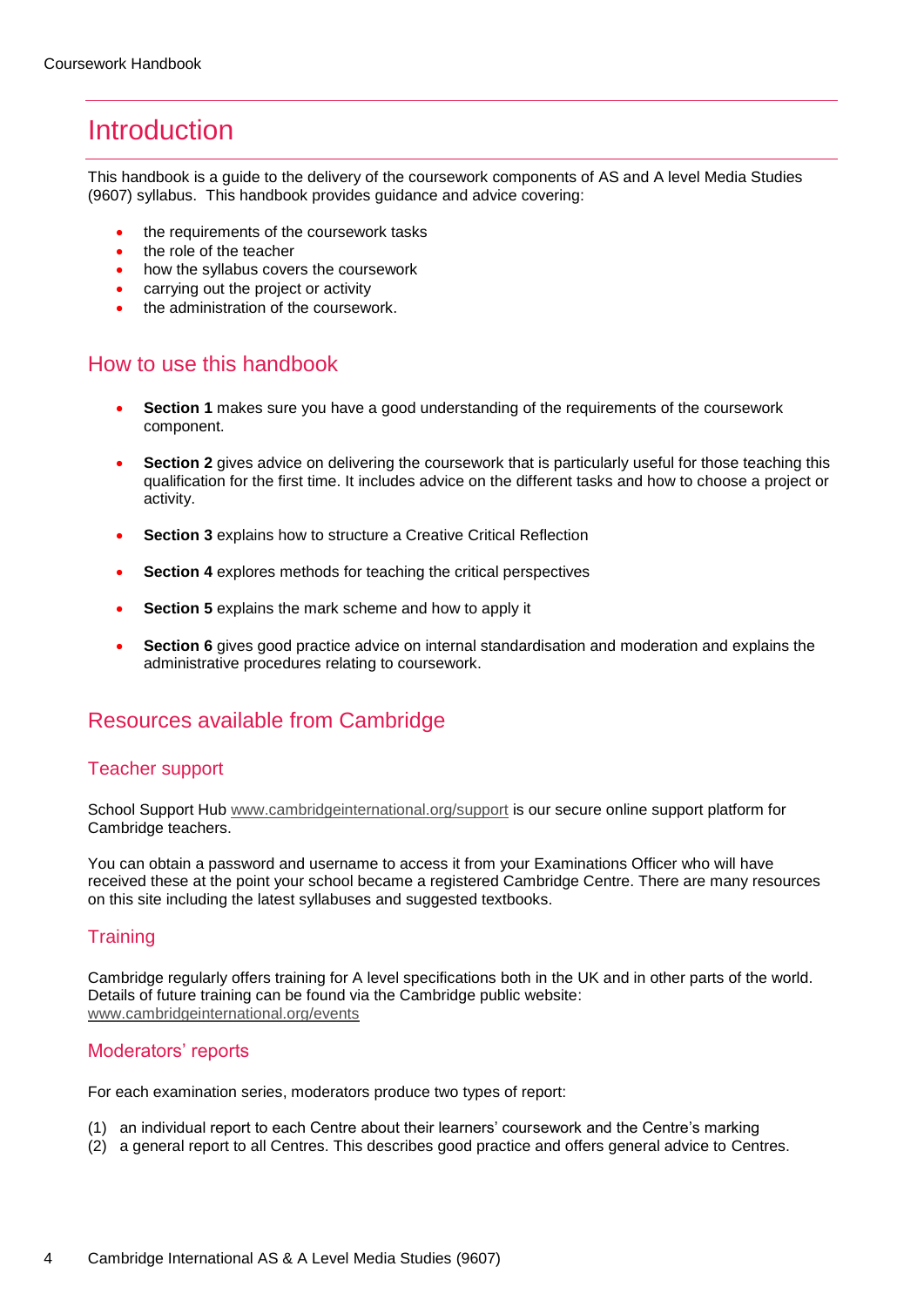# <span id="page-3-0"></span>**Introduction**

This handbook is a guide to the delivery of the coursework components of AS and A level Media Studies (9607) syllabus. This handbook provides guidance and advice covering:

- the requirements of the coursework tasks
- the role of the teacher
- how the syllabus covers the coursework
- carrying out the project or activity
- the administration of the coursework.

### How to use this handbook

- **Section 1** makes sure you have a good understanding of the requirements of the coursework component.
- **Section 2** gives advice on delivering the coursework that is particularly useful for those teaching this qualification for the first time. It includes advice on the different tasks and how to choose a project or activity.
- **Section 3** explains how to structure a Creative Critical Reflection
- **Section 4** explores methods for teaching the critical perspectives
- **Section 5** explains the mark scheme and how to apply it
- **Section 6** gives good practice advice on internal standardisation and moderation and explains the administrative procedures relating to coursework.

### Resources available from Cambridge

### Teacher support

School Support Hub [www.cambridgeinternational.org/support](http://www.cambridgeinternational.org/support) is our secure online support platform for Cambridge teachers.

You can obtain a password and username to access it from your Examinations Officer who will have received these at the point your school became a registered Cambridge Centre. There are many resources on this site including the latest syllabuses and suggested textbooks.

### **Training**

Cambridge regularly offers training for A level specifications both in the UK and in other parts of the world. Details of future training can be found via the Cambridge public website: [www.cambridgeinternational.org/events](http://www.cambridgeinternational.org/events)

### Moderators' reports

For each examination series, moderators produce two types of report:

- (1) an individual report to each Centre about their learners' coursework and the Centre's marking
- (2) a general report to all Centres. This describes good practice and offers general advice to Centres.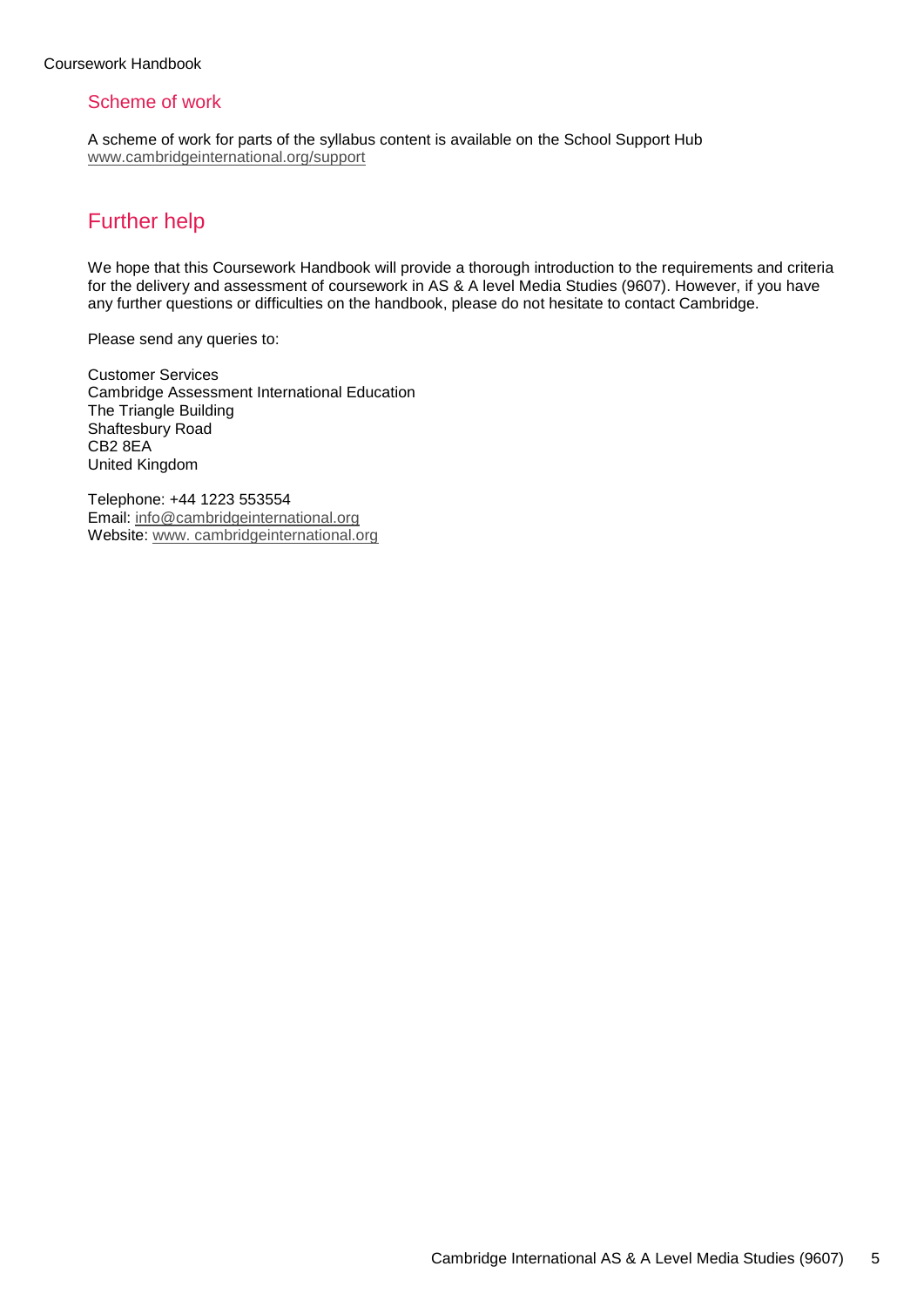### Scheme of work

A scheme of work for parts of the syllabus content is available on the School Support Hub www.cambridgeinternational.org/support

# Further help

We hope that this Coursework Handbook will provide a thorough introduction to the requirements and criteria for the delivery and assessment of coursework in AS & A level Media Studies (9607). However, if you have any further questions or difficulties on the handbook, please do not hesitate to contact Cambridge.

Please send any queries to:

Customer Services Cambridge Assessment International Education The Triangle Building Shaftesbury Road CB2 8EA United Kingdom

Telephone: +44 1223 553554 Email: info@cambridgeinternational.org Website: www. cambridgeinternational.org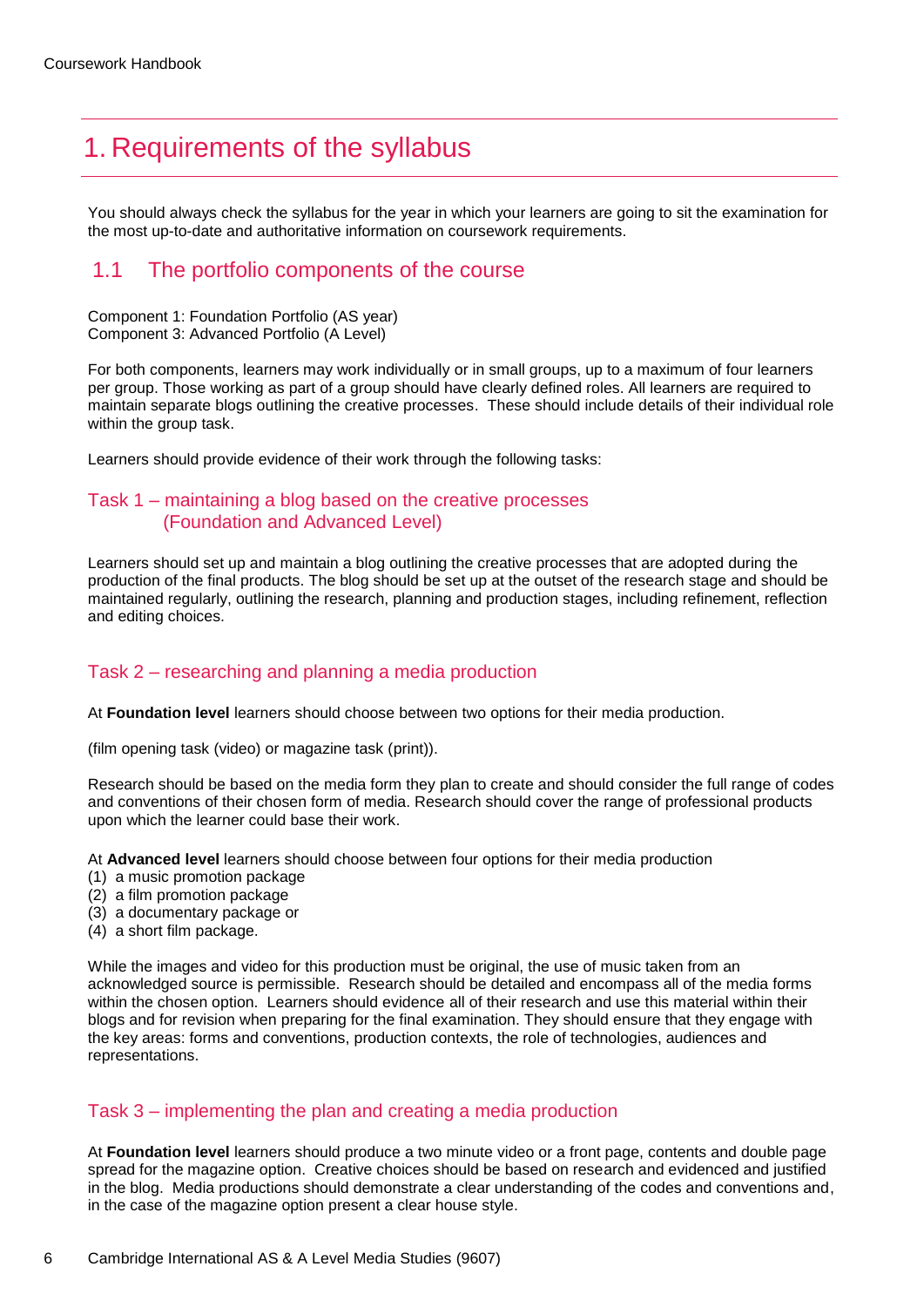# <span id="page-5-0"></span>1. Requirements of the syllabus

You should always check the syllabus for the year in which your learners are going to sit the examination for the most up-to-date and authoritative information on coursework requirements.

### 1.1 The portfolio components of the course

Component 1: Foundation Portfolio (AS year) Component 3: Advanced Portfolio (A Level)

For both components, learners may work individually or in small groups, up to a maximum of four learners per group. Those working as part of a group should have clearly defined roles. All learners are required to maintain separate blogs outlining the creative processes. These should include details of their individual role within the group task.

Learners should provide evidence of their work through the following tasks:

### Task 1 – maintaining a blog based on the creative processes (Foundation and Advanced Level)

Learners should set up and maintain a blog outlining the creative processes that are adopted during the production of the final products. The blog should be set up at the outset of the research stage and should be maintained regularly, outlining the research, planning and production stages, including refinement, reflection and editing choices.

### Task 2 – researching and planning a media production

At **Foundation level** learners should choose between two options for their media production.

(film opening task (video) or magazine task (print)).

Research should be based on the media form they plan to create and should consider the full range of codes and conventions of their chosen form of media. Research should cover the range of professional products upon which the learner could base their work.

At **Advanced level** learners should choose between four options for their media production

- (1) a music promotion package
- (2) a film promotion package
- (3) a documentary package or
- (4) a short film package.

While the images and video for this production must be original, the use of music taken from an acknowledged source is permissible. Research should be detailed and encompass all of the media forms within the chosen option. Learners should evidence all of their research and use this material within their blogs and for revision when preparing for the final examination. They should ensure that they engage with the key areas: forms and conventions, production contexts, the role of technologies, audiences and representations.

### Task 3 – implementing the plan and creating a media production

At **Foundation level** learners should produce a two minute video or a front page, contents and double page spread for the magazine option. Creative choices should be based on research and evidenced and justified in the blog. Media productions should demonstrate a clear understanding of the codes and conventions and, in the case of the magazine option present a clear house style.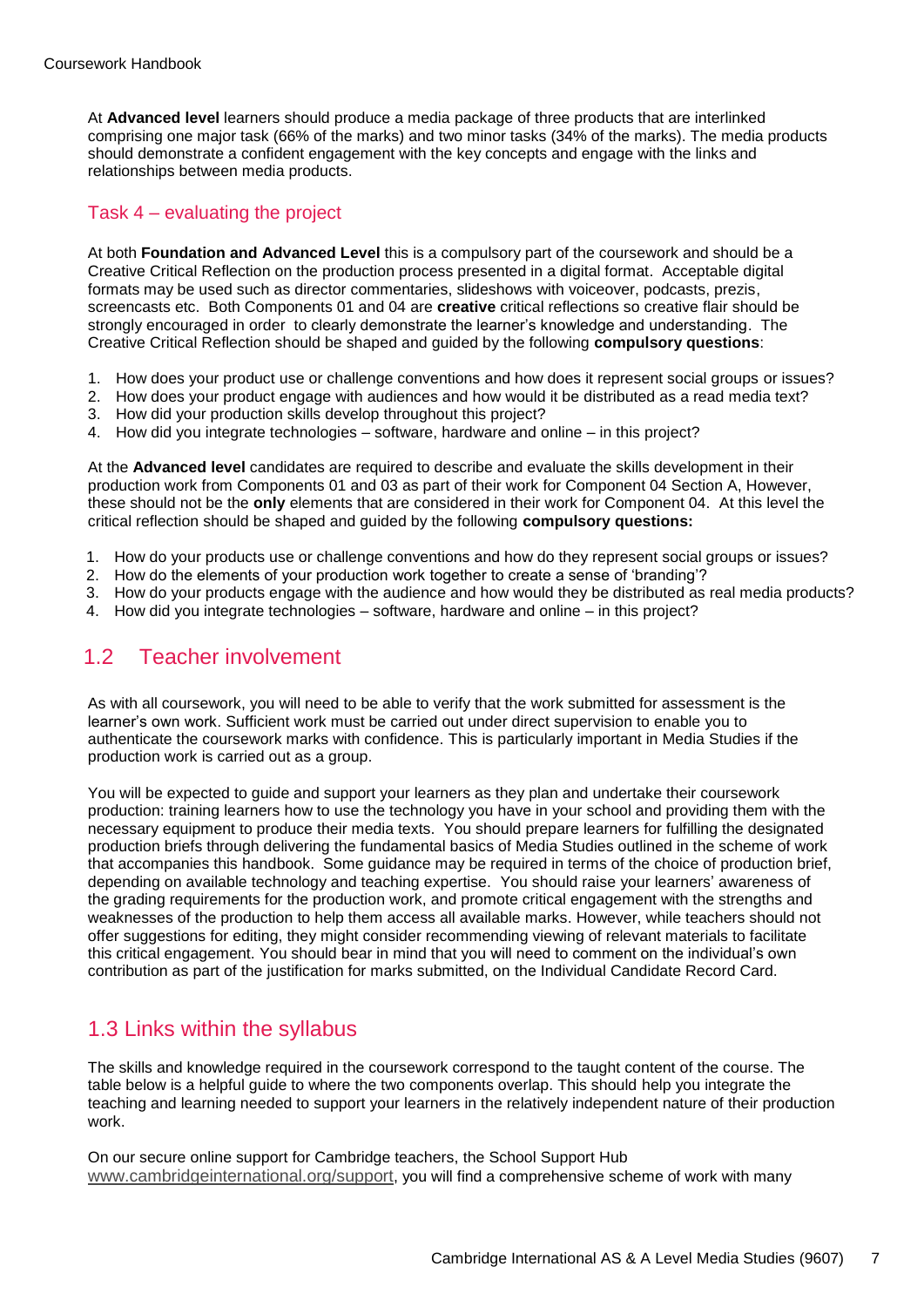At **Advanced level** learners should produce a media package of three products that are interlinked comprising one major task (66% of the marks) and two minor tasks (34% of the marks). The media products should demonstrate a confident engagement with the key concepts and engage with the links and relationships between media products.

### Task 4 – evaluating the project

At both **Foundation and Advanced Level** this is a compulsory part of the coursework and should be a Creative Critical Reflection on the production process presented in a digital format. Acceptable digital formats may be used such as director commentaries, slideshows with voiceover, podcasts, prezis, screencasts etc. Both Components 01 and 04 are **creative** critical reflections so creative flair should be strongly encouraged in order to clearly demonstrate the learner's knowledge and understanding. The Creative Critical Reflection should be shaped and guided by the following **compulsory questions**:

- 1. How does your product use or challenge conventions and how does it represent social groups or issues?
- 2. How does your product engage with audiences and how would it be distributed as a read media text?
- 3. How did your production skills develop throughout this project?
- 4. How did you integrate technologies software, hardware and online in this project?

At the **Advanced level** candidates are required to describe and evaluate the skills development in their production work from Components 01 and 03 as part of their work for Component 04 Section A, However, these should not be the **only** elements that are considered in their work for Component 04. At this level the critical reflection should be shaped and guided by the following **compulsory questions:**

- 1. How do your products use or challenge conventions and how do they represent social groups or issues?
- 2. How do the elements of your production work together to create a sense of 'branding'?
- 3. How do your products engage with the audience and how would they be distributed as real media products?
- 4. How did you integrate technologies software, hardware and online in this project?

### 1.2 Teacher involvement

As with all coursework, you will need to be able to verify that the work submitted for assessment is the learner's own work. Sufficient work must be carried out under direct supervision to enable you to authenticate the coursework marks with confidence. This is particularly important in Media Studies if the production work is carried out as a group.

You will be expected to guide and support your learners as they plan and undertake their coursework production: training learners how to use the technology you have in your school and providing them with the necessary equipment to produce their media texts. You should prepare learners for fulfilling the designated production briefs through delivering the fundamental basics of Media Studies outlined in the scheme of work that accompanies this handbook. Some guidance may be required in terms of the choice of production brief, depending on available technology and teaching expertise. You should raise your learners' awareness of the grading requirements for the production work, and promote critical engagement with the strengths and weaknesses of the production to help them access all available marks. However, while teachers should not offer suggestions for editing, they might consider recommending viewing of relevant materials to facilitate this critical engagement. You should bear in mind that you will need to comment on the individual's own contribution as part of the justification for marks submitted, on the Individual Candidate Record Card.

### 1.3 Links within the syllabus

The skills and knowledge required in the coursework correspond to the taught content of the course. The table below is a helpful guide to where the two components overlap. This should help you integrate the teaching and learning needed to support your learners in the relatively independent nature of their production work.

On our secure online support for Cambridge teachers, the School Support Hub www.cambridgeinternational.org/support, you will find a comprehensive scheme of work with many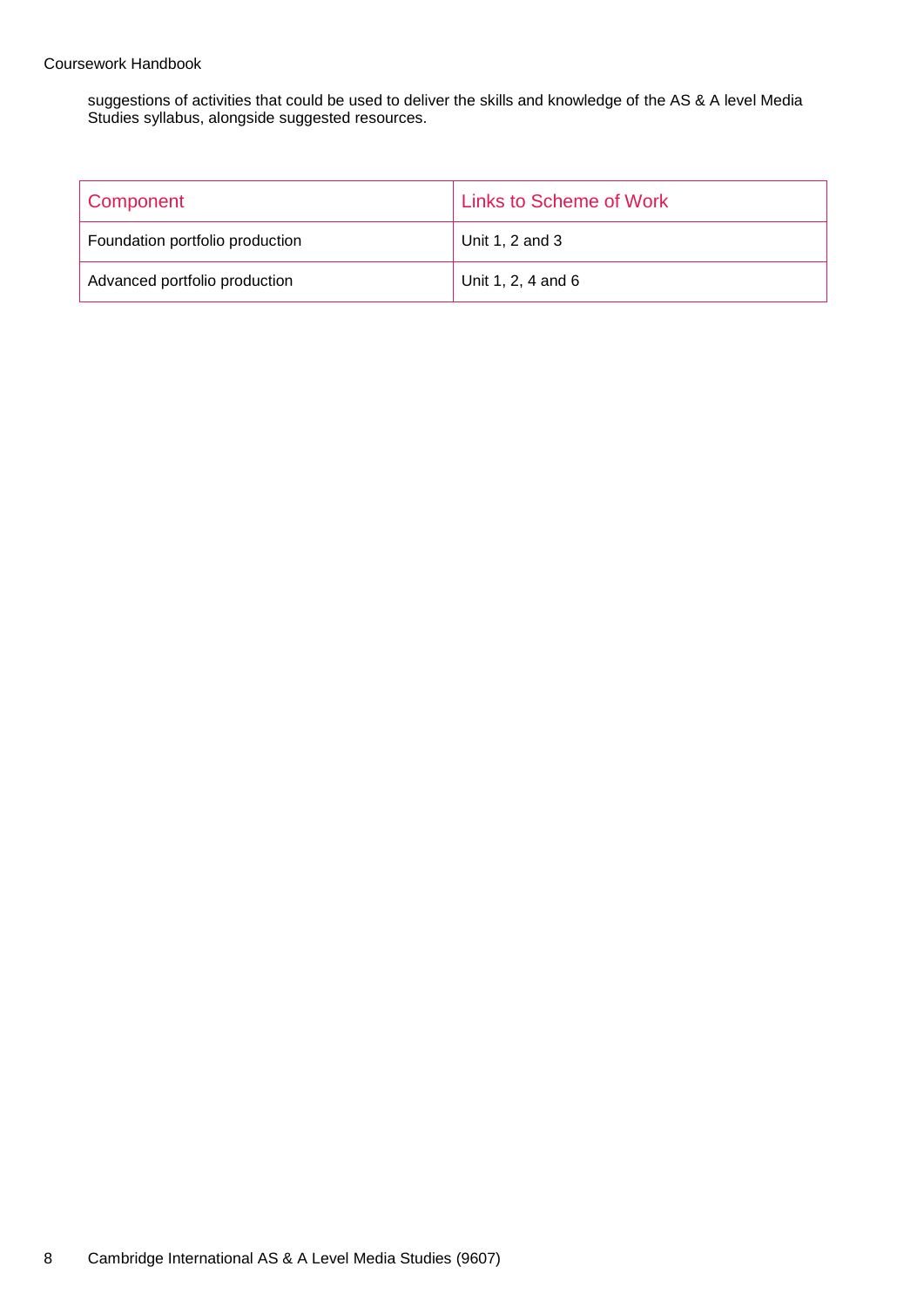#### Coursework Handbook

suggestions of activities that could be used to deliver the skills and knowledge of the AS & A level Media Studies syllabus, alongside suggested resources.

| Component                       | <b>Links to Scheme of Work</b> |
|---------------------------------|--------------------------------|
| Foundation portfolio production | Unit 1, 2 and 3                |
| Advanced portfolio production   | Unit 1, 2, 4 and 6             |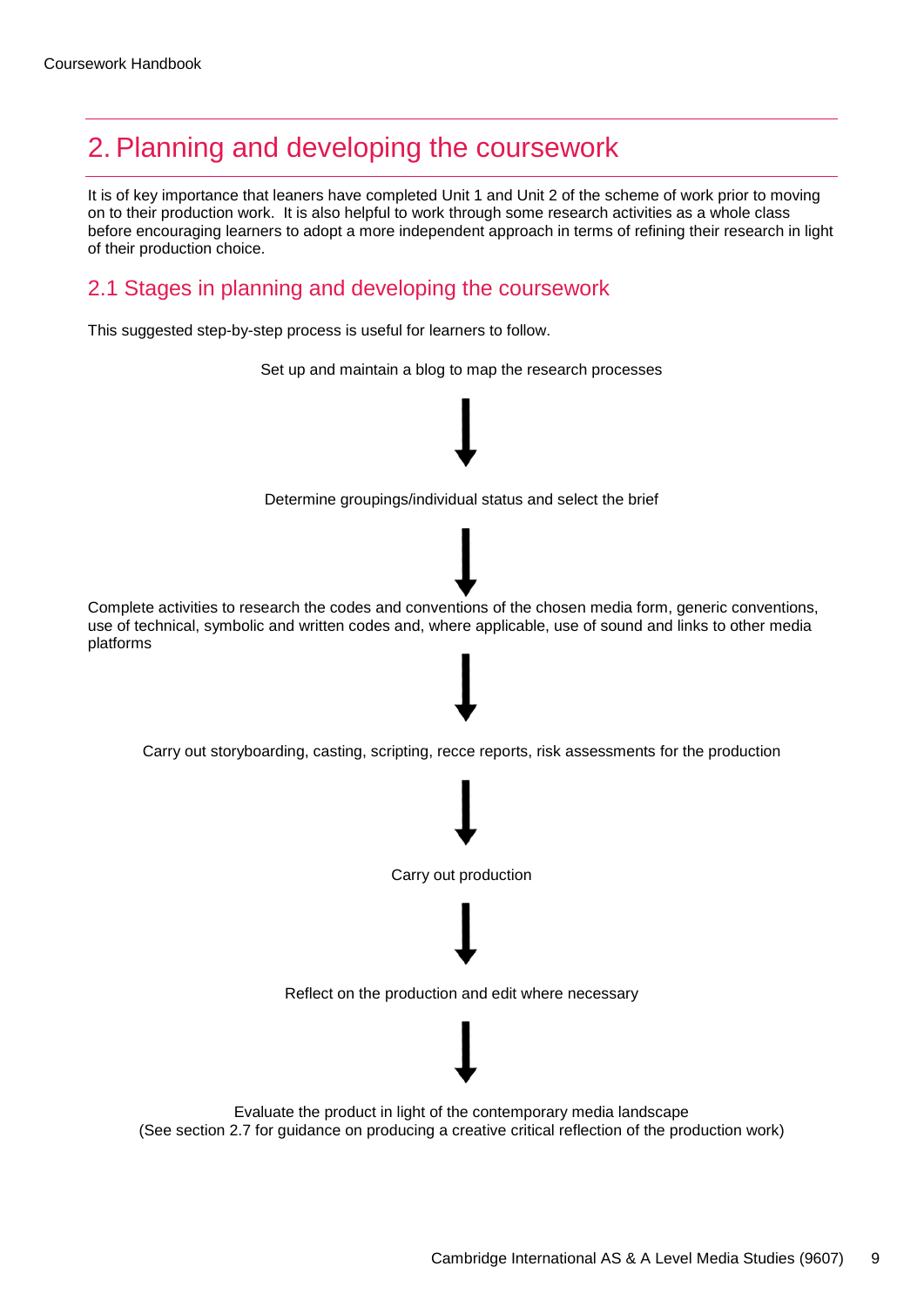# <span id="page-8-0"></span>2. Planning and developing the coursework

It is of key importance that leaners have completed Unit 1 and Unit 2 of the scheme of work prior to moving on to their production work. It is also helpful to work through some research activities as a whole class before encouraging learners to adopt a more independent approach in terms of refining their research in light of their production choice.

# 2.1 Stages in planning and developing the coursework

This suggested step-by-step process is useful for learners to follow.



(See section 2.7 for guidance on producing a creative critical reflection of the production work)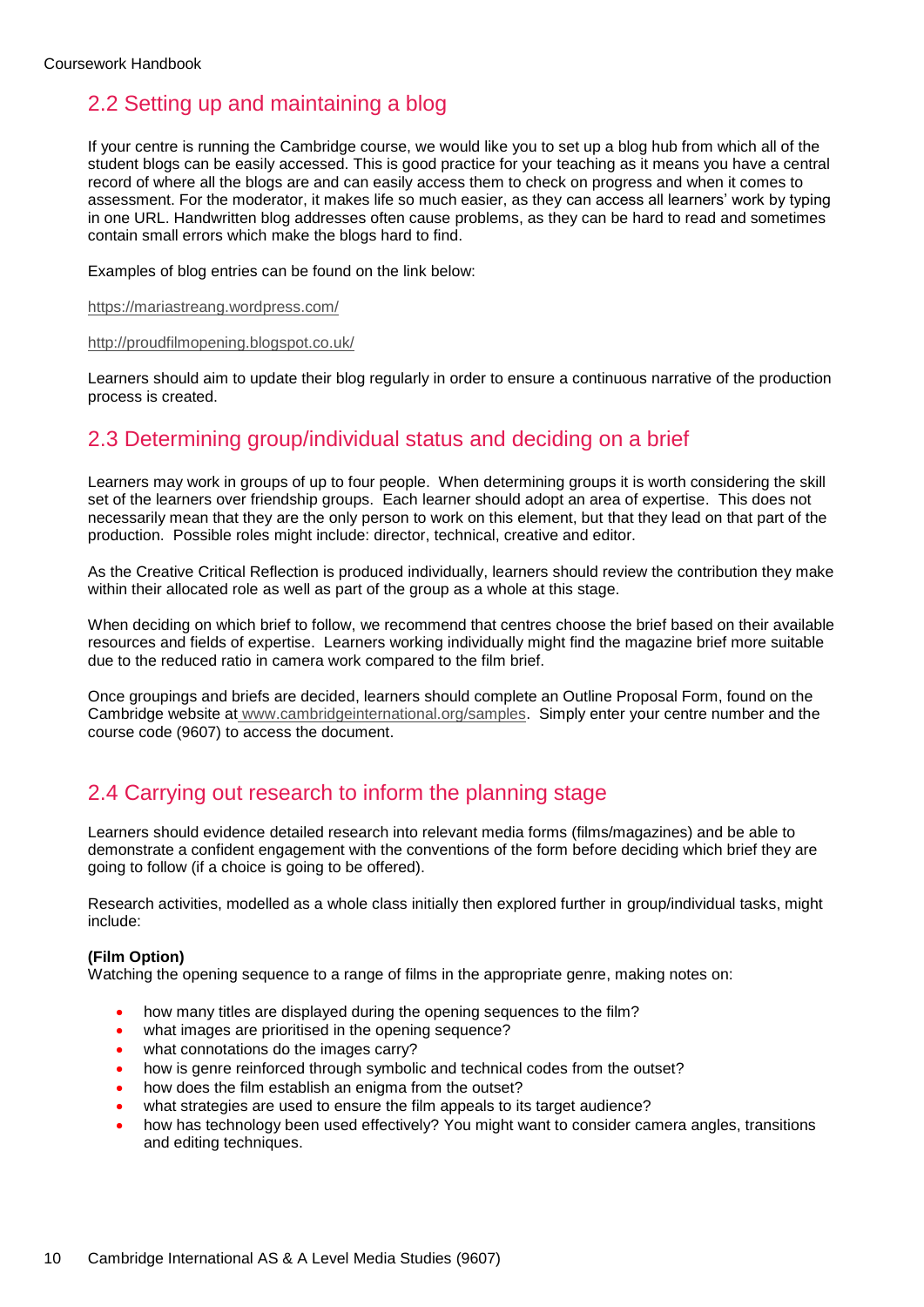# 2.2 Setting up and maintaining a blog

If your centre is running the Cambridge course, we would like you to set up a blog hub from which all of the student blogs can be easily accessed. This is good practice for your teaching as it means you have a central record of where all the blogs are and can easily access them to check on progress and when it comes to assessment. For the moderator, it makes life so much easier, as they can access all learners' work by typing in one URL. Handwritten blog addresses often cause problems, as they can be hard to read and sometimes contain small errors which make the blogs hard to find.

Examples of blog entries can be found on the link below:

<https://mariastreang.wordpress.com/>

#### <http://proudfilmopening.blogspot.co.uk/>

Learners should aim to update their blog regularly in order to ensure a continuous narrative of the production process is created.

## 2.3 Determining group/individual status and deciding on a brief

Learners may work in groups of up to four people. When determining groups it is worth considering the skill set of the learners over friendship groups. Each learner should adopt an area of expertise. This does not necessarily mean that they are the only person to work on this element, but that they lead on that part of the production. Possible roles might include: director, technical, creative and editor.

As the Creative Critical Reflection is produced individually, learners should review the contribution they make within their allocated role as well as part of the group as a whole at this stage.

When deciding on which brief to follow, we recommend that centres choose the brief based on their available resources and fields of expertise. Learners working individually might find the magazine brief more suitable due to the reduced ratio in camera work compared to the film brief.

Once groupings and briefs are decided, learners should complete an Outline Proposal Form, found on the Cambridge website at [www.cambridgeinternational.org/samples.](http://www.cambridgeinternational.org/samples) Simply enter your centre number and the course code (9607) to access the document.

### 2.4 Carrying out research to inform the planning stage

Learners should evidence detailed research into relevant media forms (films/magazines) and be able to demonstrate a confident engagement with the conventions of the form before deciding which brief they are going to follow (if a choice is going to be offered).

Research activities, modelled as a whole class initially then explored further in group/individual tasks, might include:

#### **(Film Option)**

Watching the opening sequence to a range of films in the appropriate genre, making notes on:

- how many titles are displayed during the opening sequences to the film?
- what images are prioritised in the opening sequence?
- what connotations do the images carry?
- how is genre reinforced through symbolic and technical codes from the outset?
- how does the film establish an enigma from the outset?
- what strategies are used to ensure the film appeals to its target audience?
- how has technology been used effectively? You might want to consider camera angles, transitions and editing techniques.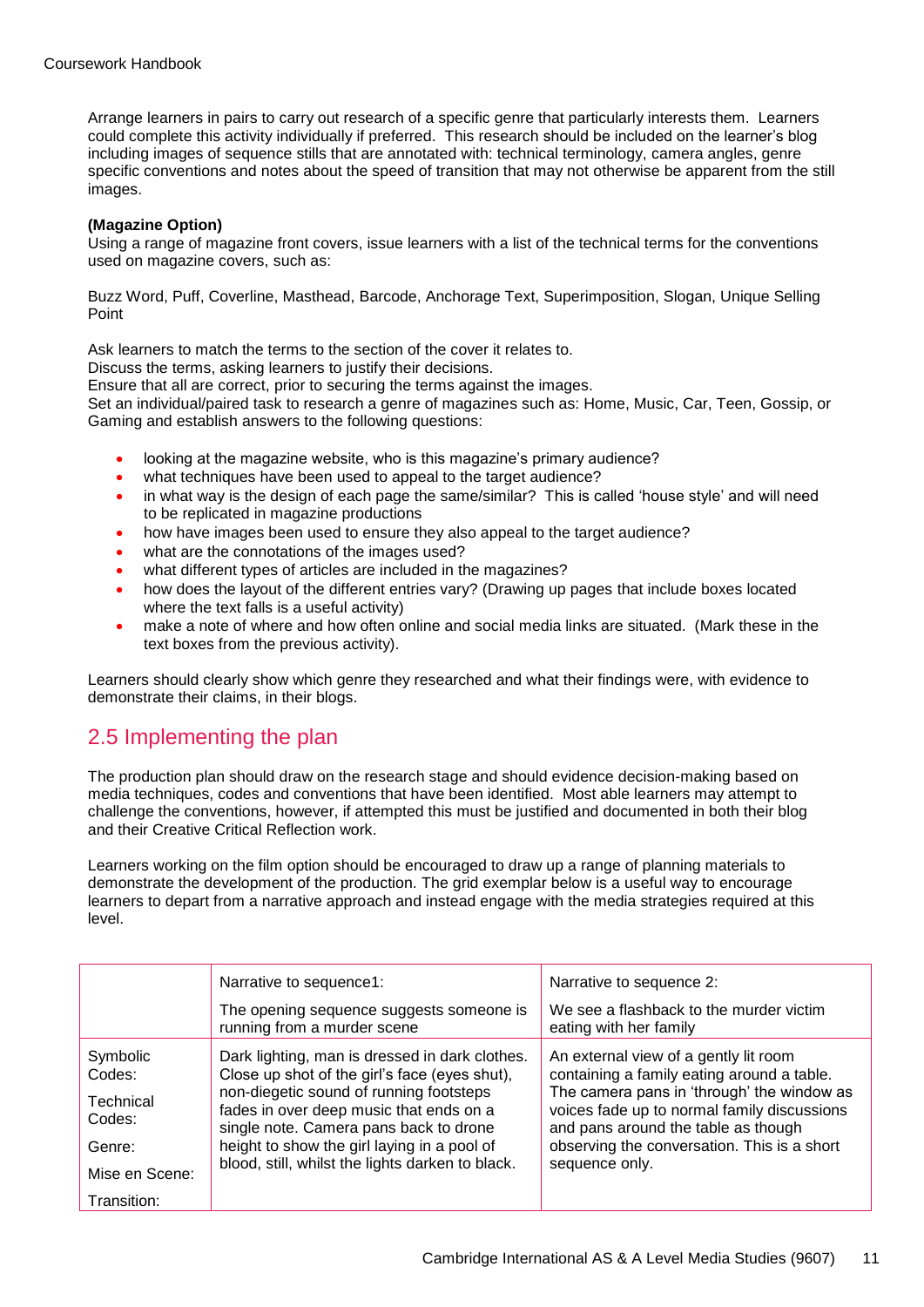Arrange learners in pairs to carry out research of a specific genre that particularly interests them. Learners could complete this activity individually if preferred. This research should be included on the learner's blog including images of sequence stills that are annotated with: technical terminology, camera angles, genre specific conventions and notes about the speed of transition that may not otherwise be apparent from the still images.

#### **(Magazine Option)**

Using a range of magazine front covers, issue learners with a list of the technical terms for the conventions used on magazine covers, such as:

Buzz Word, Puff, Coverline, Masthead, Barcode, Anchorage Text, Superimposition, Slogan, Unique Selling Point

Ask learners to match the terms to the section of the cover it relates to.

Discuss the terms, asking learners to justify their decisions.

Ensure that all are correct, prior to securing the terms against the images.

Set an individual/paired task to research a genre of magazines such as: Home, Music, Car, Teen, Gossip, or Gaming and establish answers to the following questions:

- looking at the magazine website, who is this magazine's primary audience?
- what techniques have been used to appeal to the target audience?
- in what way is the design of each page the same/similar? This is called 'house style' and will need to be replicated in magazine productions
- how have images been used to ensure they also appeal to the target audience?
- what are the connotations of the images used?
- what different types of articles are included in the magazines?
- how does the layout of the different entries vary? (Drawing up pages that include boxes located where the text falls is a useful activity)
- make a note of where and how often online and social media links are situated. (Mark these in the text boxes from the previous activity).

Learners should clearly show which genre they researched and what their findings were, with evidence to demonstrate their claims, in their blogs.

### 2.5 Implementing the plan

The production plan should draw on the research stage and should evidence decision-making based on media techniques, codes and conventions that have been identified. Most able learners may attempt to challenge the conventions, however, if attempted this must be justified and documented in both their blog and their Creative Critical Reflection work.

Learners working on the film option should be encouraged to draw up a range of planning materials to demonstrate the development of the production. The grid exemplar below is a useful way to encourage learners to depart from a narrative approach and instead engage with the media strategies required at this level.

|                     | Narrative to sequence1:                                                                                                      | Narrative to sequence 2:                                                                                                         |
|---------------------|------------------------------------------------------------------------------------------------------------------------------|----------------------------------------------------------------------------------------------------------------------------------|
|                     | The opening sequence suggests someone is<br>running from a murder scene                                                      | We see a flashback to the murder victim<br>eating with her family                                                                |
| Symbolic<br>Codes:  | Dark lighting, man is dressed in dark clothes.<br>Close up shot of the girl's face (eyes shut),                              | An external view of a gently lit room<br>containing a family eating around a table.                                              |
| Technical<br>Codes: | non-diegetic sound of running footsteps<br>fades in over deep music that ends on a<br>single note. Camera pans back to drone | The camera pans in 'through' the window as<br>voices fade up to normal family discussions<br>and pans around the table as though |
| Genre:              | height to show the girl laying in a pool of                                                                                  | observing the conversation. This is a short                                                                                      |
| Mise en Scene:      | blood, still, whilst the lights darken to black.                                                                             | sequence only.                                                                                                                   |
| Transition:         |                                                                                                                              |                                                                                                                                  |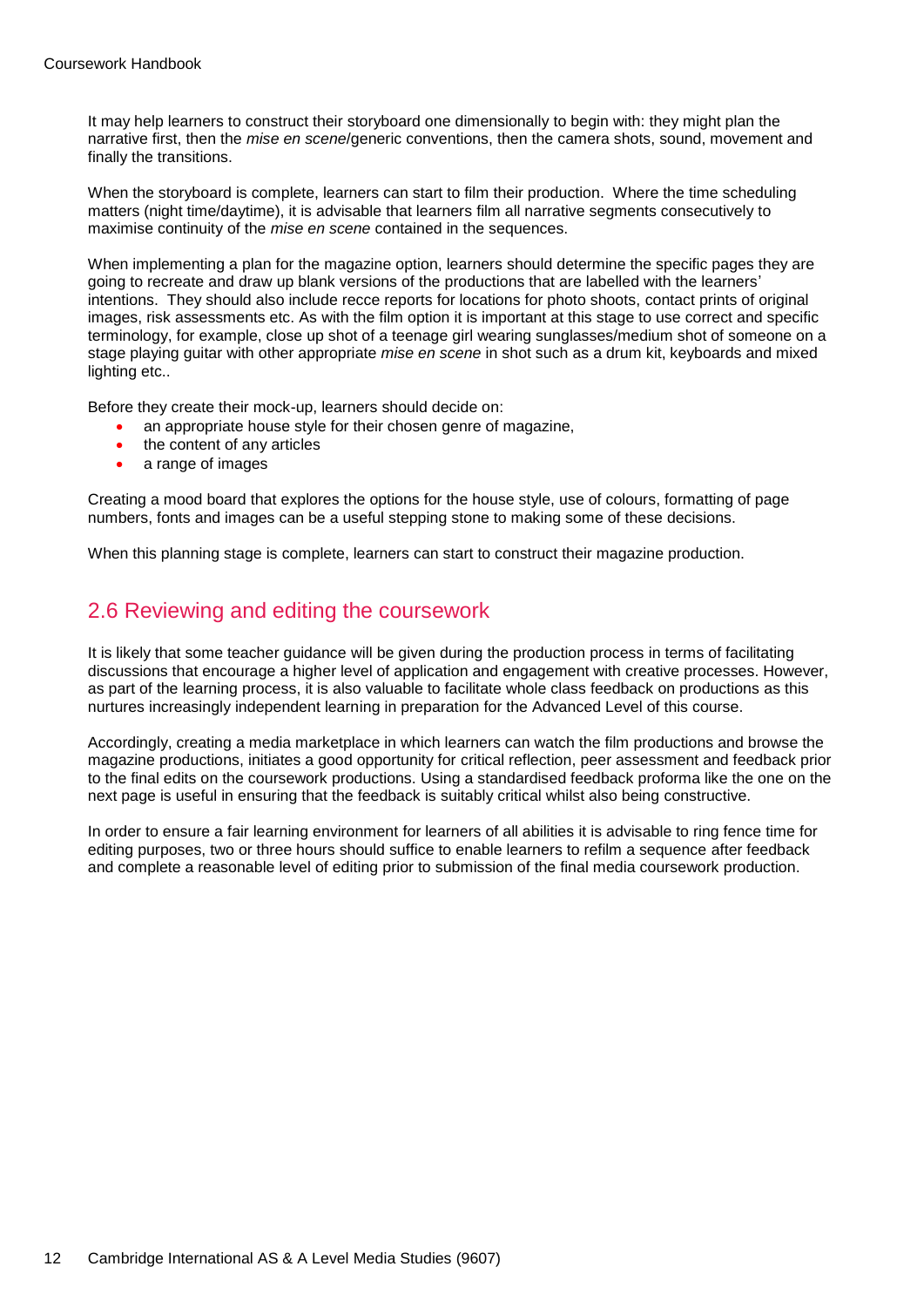It may help learners to construct their storyboard one dimensionally to begin with: they might plan the narrative first, then the *mise en scene*/generic conventions, then the camera shots, sound, movement and finally the transitions.

When the storyboard is complete, learners can start to film their production. Where the time scheduling matters (night time/daytime), it is advisable that learners film all narrative segments consecutively to maximise continuity of the *mise en scene* contained in the sequences.

When implementing a plan for the magazine option, learners should determine the specific pages they are going to recreate and draw up blank versions of the productions that are labelled with the learners' intentions. They should also include recce reports for locations for photo shoots, contact prints of original images, risk assessments etc. As with the film option it is important at this stage to use correct and specific terminology, for example, close up shot of a teenage girl wearing sunglasses/medium shot of someone on a stage playing guitar with other appropriate *mise en scene* in shot such as a drum kit, keyboards and mixed lighting etc..

Before they create their mock-up, learners should decide on:

- an appropriate house style for their chosen genre of magazine,
- the content of any articles
- a range of images

Creating a mood board that explores the options for the house style, use of colours, formatting of page numbers, fonts and images can be a useful stepping stone to making some of these decisions.

When this planning stage is complete, learners can start to construct their magazine production.

### 2.6 Reviewing and editing the coursework

It is likely that some teacher guidance will be given during the production process in terms of facilitating discussions that encourage a higher level of application and engagement with creative processes. However, as part of the learning process, it is also valuable to facilitate whole class feedback on productions as this nurtures increasingly independent learning in preparation for the Advanced Level of this course.

Accordingly, creating a media marketplace in which learners can watch the film productions and browse the magazine productions, initiates a good opportunity for critical reflection, peer assessment and feedback prior to the final edits on the coursework productions. Using a standardised feedback proforma like the one on the next page is useful in ensuring that the feedback is suitably critical whilst also being constructive.

In order to ensure a fair learning environment for learners of all abilities it is advisable to ring fence time for editing purposes, two or three hours should suffice to enable learners to refilm a sequence after feedback and complete a reasonable level of editing prior to submission of the final media coursework production.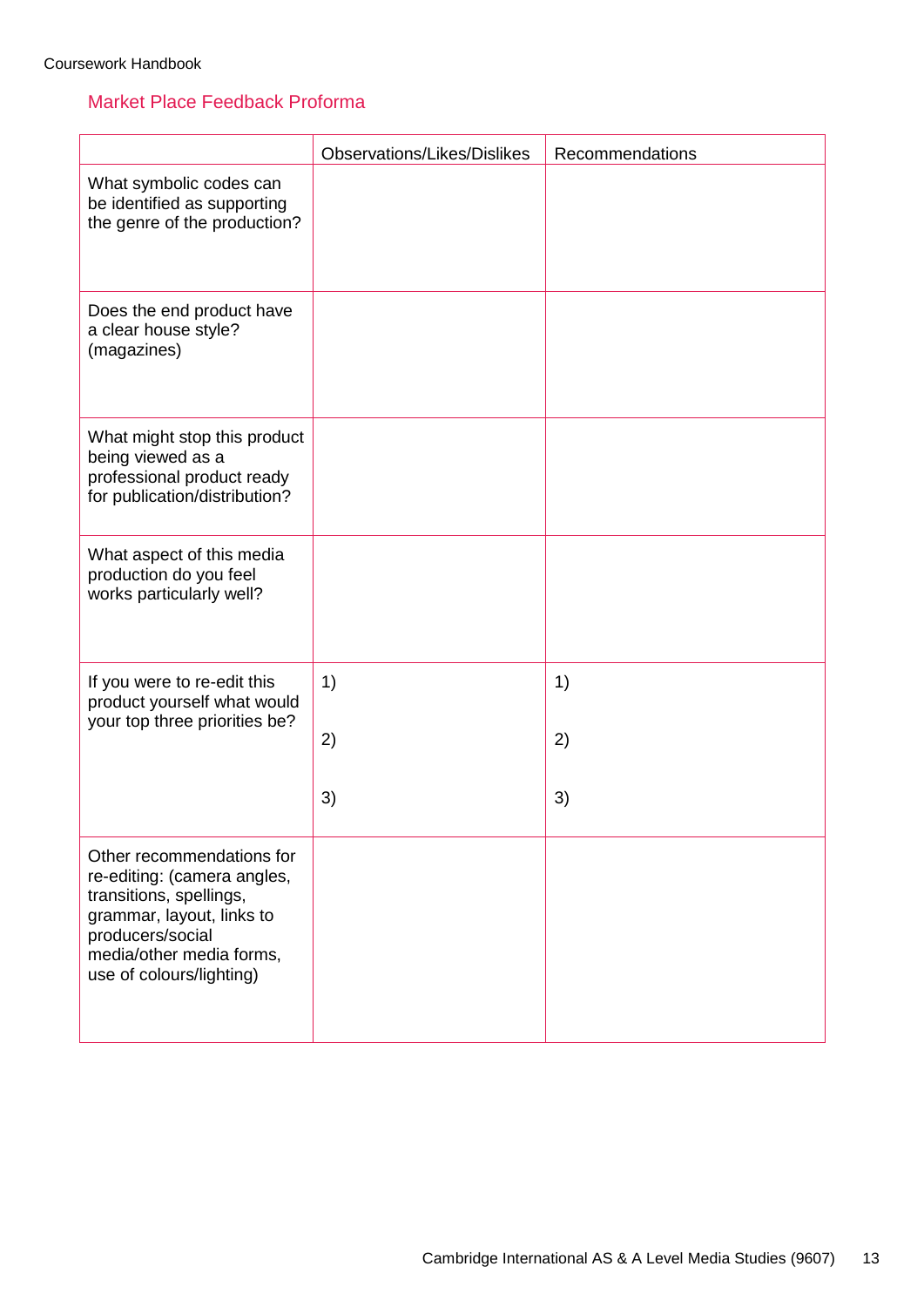### Market Place Feedback Proforma

|                                                                                                                                                                                              | <b>Observations/Likes/Dislikes</b> | Recommendations |
|----------------------------------------------------------------------------------------------------------------------------------------------------------------------------------------------|------------------------------------|-----------------|
| What symbolic codes can<br>be identified as supporting<br>the genre of the production?                                                                                                       |                                    |                 |
| Does the end product have<br>a clear house style?<br>(magazines)                                                                                                                             |                                    |                 |
| What might stop this product<br>being viewed as a<br>professional product ready<br>for publication/distribution?                                                                             |                                    |                 |
| What aspect of this media<br>production do you feel<br>works particularly well?                                                                                                              |                                    |                 |
| If you were to re-edit this<br>product yourself what would<br>your top three priorities be?                                                                                                  | 1)<br>2)                           | 1)<br>2)        |
|                                                                                                                                                                                              | 3)                                 | 3)              |
| Other recommendations for<br>re-editing: (camera angles,<br>transitions, spellings,<br>grammar, layout, links to<br>producers/social<br>media/other media forms,<br>use of colours/lighting) |                                    |                 |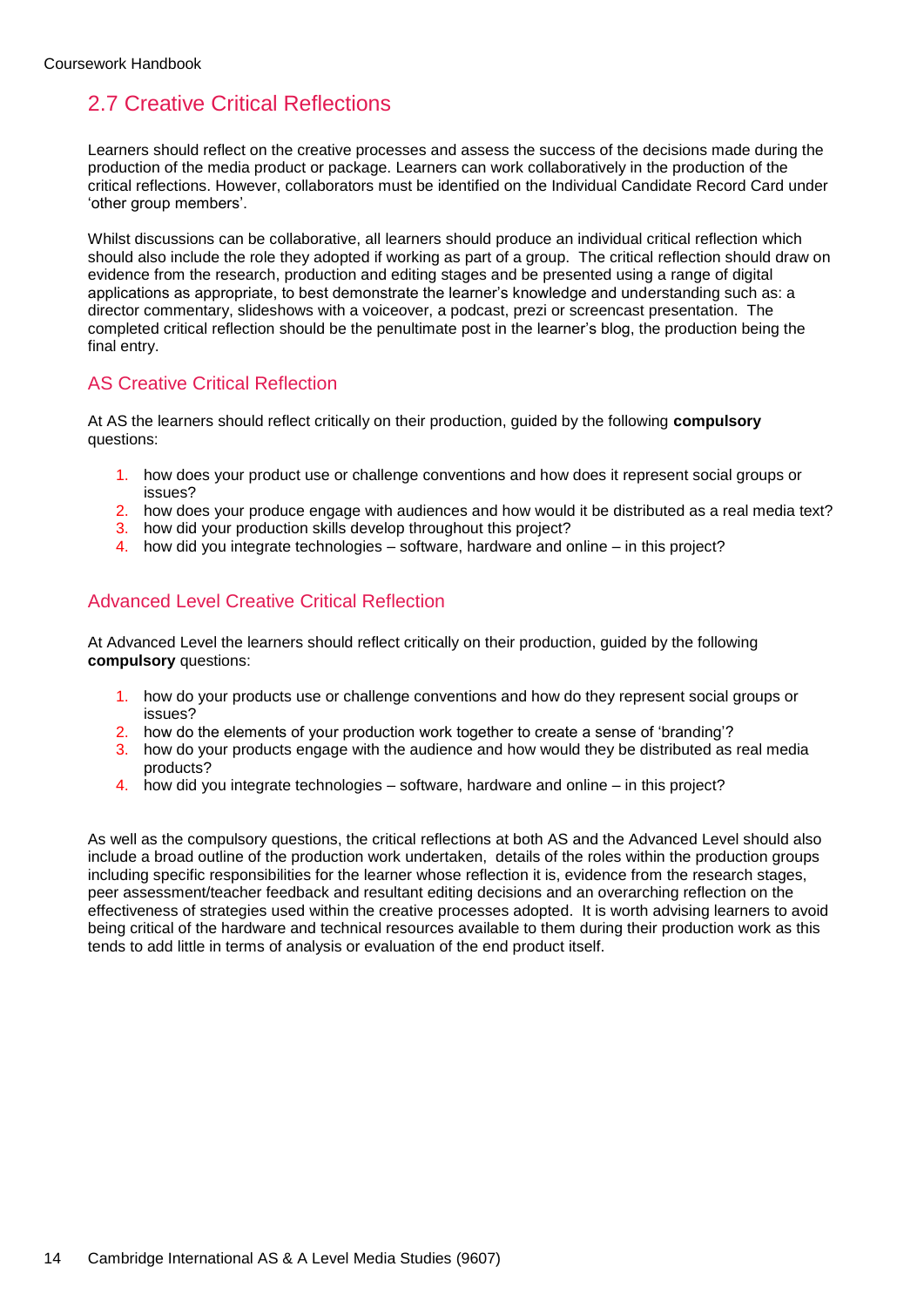# 2.7 Creative Critical Reflections

Learners should reflect on the creative processes and assess the success of the decisions made during the production of the media product or package. Learners can work collaboratively in the production of the critical reflections. However, collaborators must be identified on the Individual Candidate Record Card under 'other group members'.

Whilst discussions can be collaborative, all learners should produce an individual critical reflection which should also include the role they adopted if working as part of a group. The critical reflection should draw on evidence from the research, production and editing stages and be presented using a range of digital applications as appropriate, to best demonstrate the learner's knowledge and understanding such as: a director commentary, slideshows with a voiceover, a podcast, prezi or screencast presentation. The completed critical reflection should be the penultimate post in the learner's blog, the production being the final entry.

### AS Creative Critical Reflection

At AS the learners should reflect critically on their production, guided by the following **compulsory** questions:

- 1. how does your product use or challenge conventions and how does it represent social groups or issues?
- 2. how does your produce engage with audiences and how would it be distributed as a real media text?
- 3. how did your production skills develop throughout this project?
- 4. how did you integrate technologies software, hardware and online in this project?

### Advanced Level Creative Critical Reflection

At Advanced Level the learners should reflect critically on their production, guided by the following **compulsory** questions:

- 1. how do your products use or challenge conventions and how do they represent social groups or issues?
- 2. how do the elements of your production work together to create a sense of 'branding'?
- 3. how do your products engage with the audience and how would they be distributed as real media products?
- 4. how did you integrate technologies software, hardware and online in this project?

As well as the compulsory questions, the critical reflections at both AS and the Advanced Level should also include a broad outline of the production work undertaken, details of the roles within the production groups including specific responsibilities for the learner whose reflection it is, evidence from the research stages, peer assessment/teacher feedback and resultant editing decisions and an overarching reflection on the effectiveness of strategies used within the creative processes adopted. It is worth advising learners to avoid being critical of the hardware and technical resources available to them during their production work as this tends to add little in terms of analysis or evaluation of the end product itself.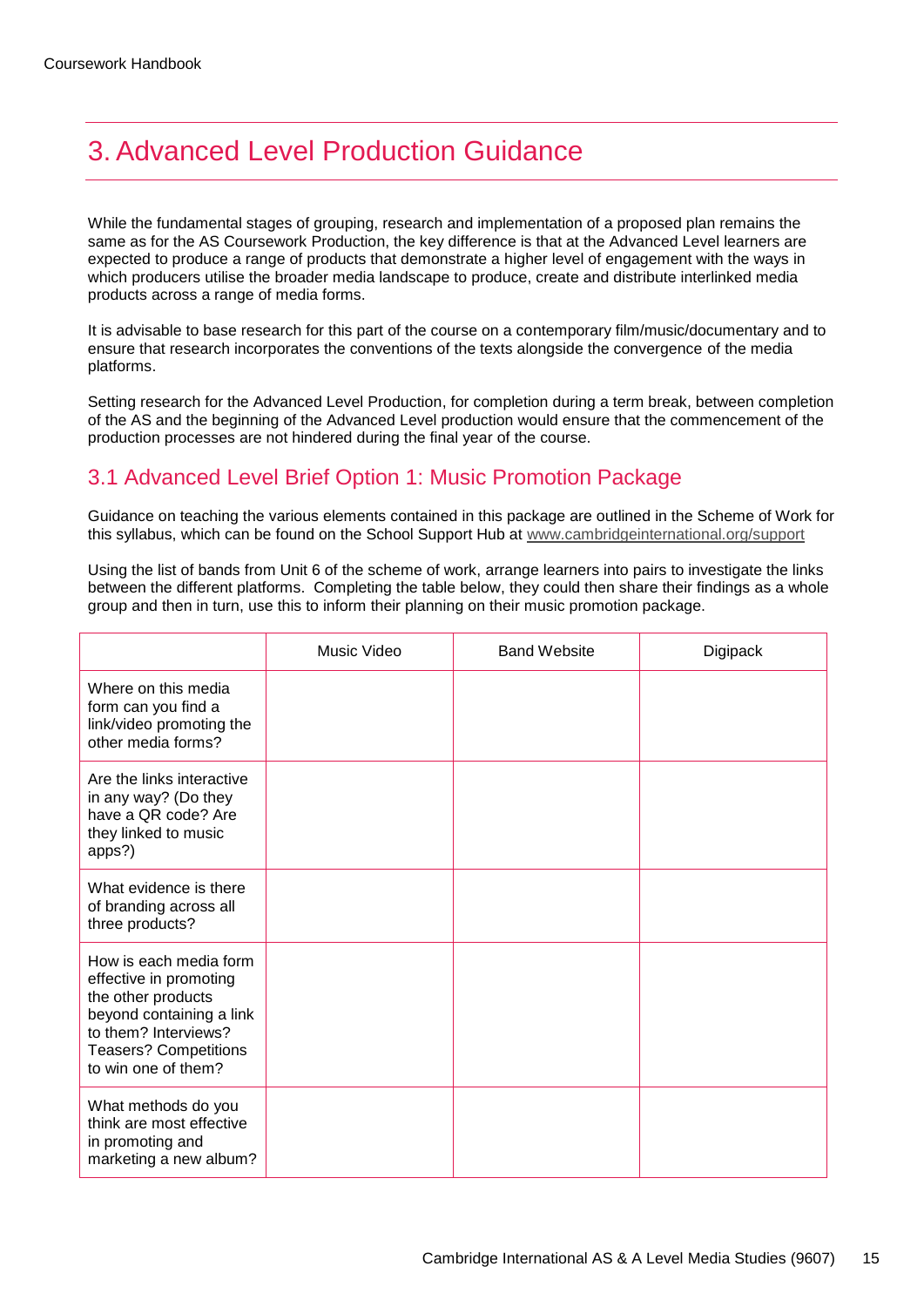# <span id="page-14-0"></span>3. Advanced Level Production Guidance

While the fundamental stages of grouping, research and implementation of a proposed plan remains the same as for the AS Coursework Production, the key difference is that at the Advanced Level learners are expected to produce a range of products that demonstrate a higher level of engagement with the ways in which producers utilise the broader media landscape to produce, create and distribute interlinked media products across a range of media forms.

It is advisable to base research for this part of the course on a contemporary film/music/documentary and to ensure that research incorporates the conventions of the texts alongside the convergence of the media platforms.

Setting research for the Advanced Level Production, for completion during a term break, between completion of the AS and the beginning of the Advanced Level production would ensure that the commencement of the production processes are not hindered during the final year of the course.

## 3.1 Advanced Level Brief Option 1: Music Promotion Package

Guidance on teaching the various elements contained in this package are outlined in the Scheme of Work for this syllabus, which can be found on the School Support Hub at [www.cambridgeinternational.org/support](http://www.cambridgeinternational.org/support)

Using the list of bands from Unit 6 of the scheme of work, arrange learners into pairs to investigate the links between the different platforms. Completing the table below, they could then share their findings as a whole group and then in turn, use this to inform their planning on their music promotion package.

|                                                                                                                                                                                   | Music Video | <b>Band Website</b> | Digipack |
|-----------------------------------------------------------------------------------------------------------------------------------------------------------------------------------|-------------|---------------------|----------|
| Where on this media<br>form can you find a<br>link/video promoting the<br>other media forms?                                                                                      |             |                     |          |
| Are the links interactive<br>in any way? (Do they<br>have a QR code? Are<br>they linked to music<br>apps?)                                                                        |             |                     |          |
| What evidence is there<br>of branding across all<br>three products?                                                                                                               |             |                     |          |
| How is each media form<br>effective in promoting<br>the other products<br>beyond containing a link<br>to them? Interviews?<br><b>Teasers? Competitions</b><br>to win one of them? |             |                     |          |
| What methods do you<br>think are most effective<br>in promoting and<br>marketing a new album?                                                                                     |             |                     |          |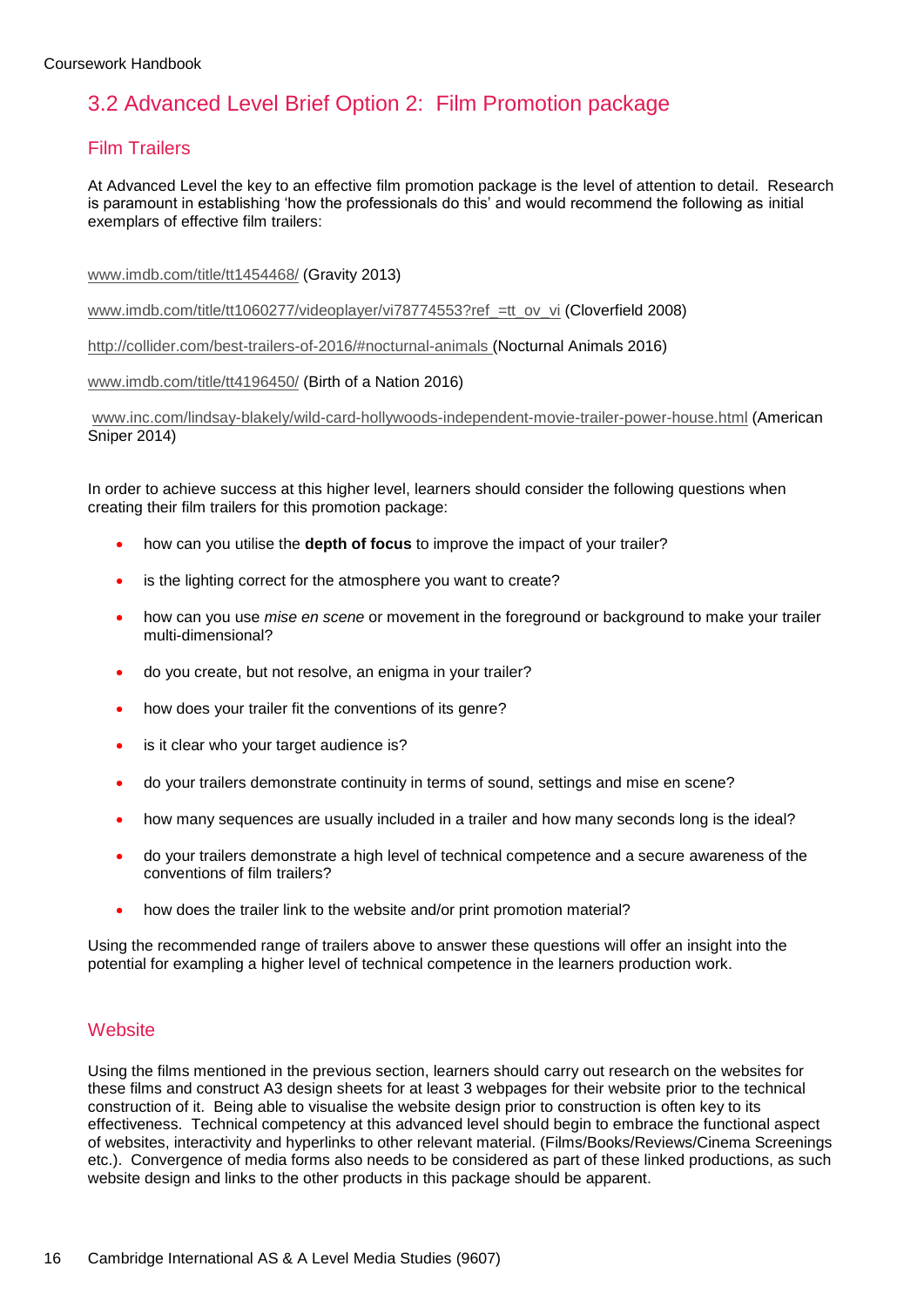# 3.2 Advanced Level Brief Option 2: Film Promotion package

### Film Trailers

At Advanced Level the key to an effective film promotion package is the level of attention to detail. Research is paramount in establishing 'how the professionals do this' and would recommend the following as initial exemplars of effective film trailers:

#### [www.imdb.com/title/tt1454468/](http://www.imdb.com/title/tt1454468/) (Gravity 2013)

[www.imdb.com/title/tt1060277/videoplayer/vi78774553?ref\\_=tt\\_ov\\_vi](http://www.imdb.com/title/tt1060277/videoplayer/vi78774553?ref_=tt_ov_vi) (Cloverfield 2008)

<http://collider.com/best-trailers-of-2016/#nocturnal-animals> (Nocturnal Animals 2016)

#### [www.imdb.com/title/tt4196450/](http://www.imdb.com/title/tt4196450/) (Birth of a Nation 2016)

[www.inc.com/lindsay-blakely/wild-card-hollywoods-independent-movie-trailer-power-house.html](http://www.inc.com/lindsay-blakely/wild-card-hollywoods-independent-movie-trailer-power-house.html) (American Sniper 2014)

In order to achieve success at this higher level, learners should consider the following questions when creating their film trailers for this promotion package:

- how can you utilise the **depth of focus** to improve the impact of your trailer?
- is the lighting correct for the atmosphere you want to create?
- how can you use *mise en scene* or movement in the foreground or background to make your trailer multi-dimensional?
- do you create, but not resolve, an enigma in your trailer?
- how does your trailer fit the conventions of its genre?
- is it clear who your target audience is?
- do your trailers demonstrate continuity in terms of sound, settings and mise en scene?
- how many sequences are usually included in a trailer and how many seconds long is the ideal?
- do your trailers demonstrate a high level of technical competence and a secure awareness of the conventions of film trailers?
- how does the trailer link to the website and/or print promotion material?

Using the recommended range of trailers above to answer these questions will offer an insight into the potential for exampling a higher level of technical competence in the learners production work.

### **Website**

Using the films mentioned in the previous section, learners should carry out research on the websites for these films and construct A3 design sheets for at least 3 webpages for their website prior to the technical construction of it. Being able to visualise the website design prior to construction is often key to its effectiveness. Technical competency at this advanced level should begin to embrace the functional aspect of websites, interactivity and hyperlinks to other relevant material. (Films/Books/Reviews/Cinema Screenings etc.). Convergence of media forms also needs to be considered as part of these linked productions, as such website design and links to the other products in this package should be apparent.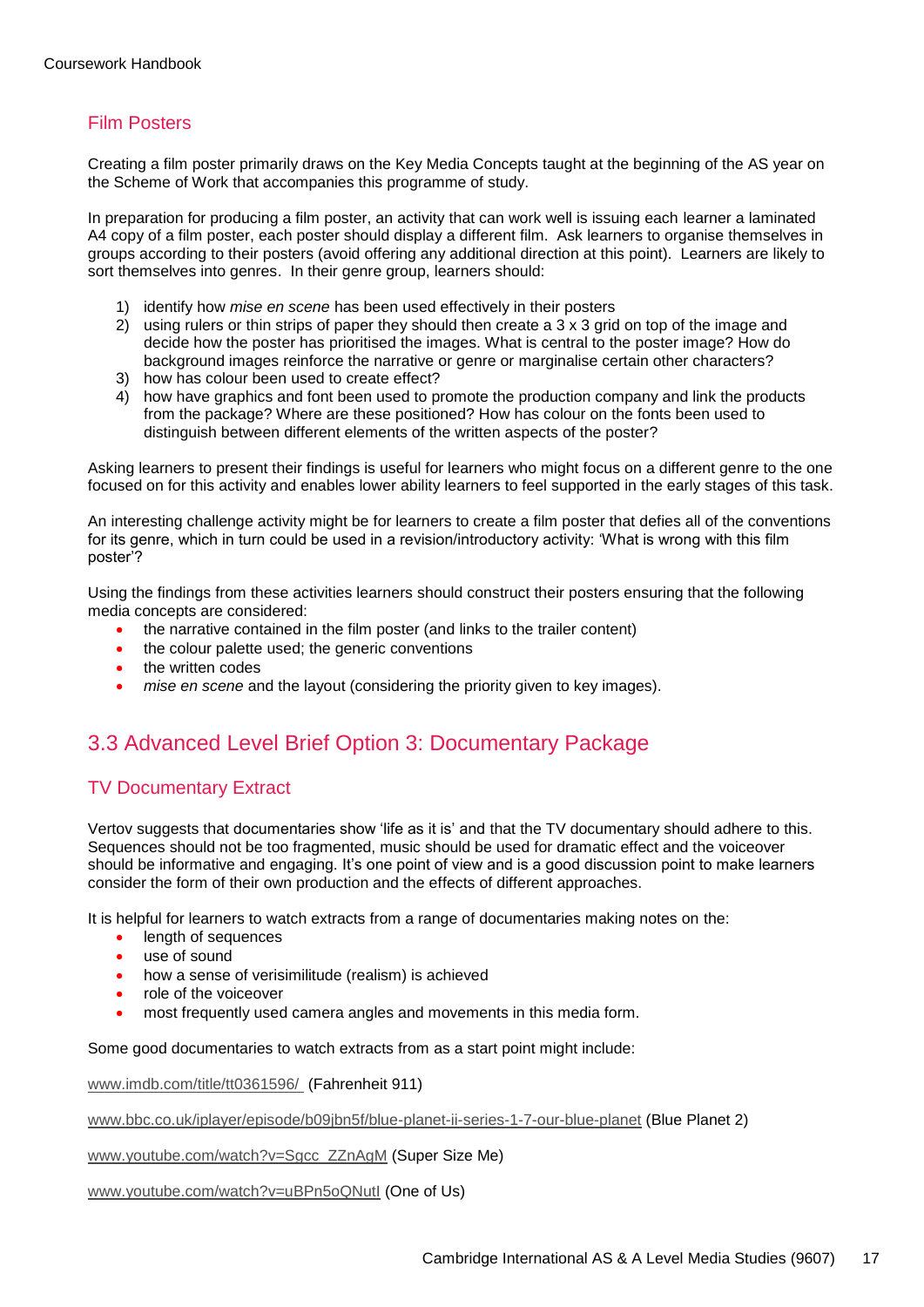### Film Posters

Creating a film poster primarily draws on the Key Media Concepts taught at the beginning of the AS year on the Scheme of Work that accompanies this programme of study.

In preparation for producing a film poster, an activity that can work well is issuing each learner a laminated A4 copy of a film poster, each poster should display a different film. Ask learners to organise themselves in groups according to their posters (avoid offering any additional direction at this point). Learners are likely to sort themselves into genres. In their genre group, learners should:

- 1) identify how *mise en scene* has been used effectively in their posters
- 2) using rulers or thin strips of paper they should then create a 3 x 3 grid on top of the image and decide how the poster has prioritised the images. What is central to the poster image? How do background images reinforce the narrative or genre or marginalise certain other characters?
- 3) how has colour been used to create effect?
- 4) how have graphics and font been used to promote the production company and link the products from the package? Where are these positioned? How has colour on the fonts been used to distinguish between different elements of the written aspects of the poster?

Asking learners to present their findings is useful for learners who might focus on a different genre to the one focused on for this activity and enables lower ability learners to feel supported in the early stages of this task.

An interesting challenge activity might be for learners to create a film poster that defies all of the conventions for its genre, which in turn could be used in a revision/introductory activity: 'What is wrong with this film poster'?

Using the findings from these activities learners should construct their posters ensuring that the following media concepts are considered:

- the narrative contained in the film poster (and links to the trailer content)
- the colour palette used; the generic conventions
- the written codes
- *mise en scene* and the layout (considering the priority given to key images).

### 3.3 Advanced Level Brief Option 3: Documentary Package

### TV Documentary Extract

Vertov suggests that documentaries show 'life as it is' and that the TV documentary should adhere to this. Sequences should not be too fragmented, music should be used for dramatic effect and the voiceover should be informative and engaging. It's one point of view and is a good discussion point to make learners consider the form of their own production and the effects of different approaches.

It is helpful for learners to watch extracts from a range of documentaries making notes on the:

- **•** length of sequences
- use of sound
- how a sense of verisimilitude (realism) is achieved
- role of the voiceover
- most frequently used camera angles and movements in this media form.

Some good documentaries to watch extracts from as a start point might include:

[www.imdb.com/title/tt0361596/](http://www.imdb.com/title/tt0361596/) (Fahrenheit 911)

[www.bbc.co.uk/iplayer/episode/b09jbn5f/blue-planet-ii-series-1-7-our-blue-planet](http://www.bbc.co.uk/iplayer/episode/b09jbn5f/blue-planet-ii-series-1-7-our-blue-planet) (Blue Planet 2)

[www.youtube.com/watch?v=Sgcc\\_ZZnAgM](http://www.youtube.com/watch?v=Sgcc_ZZnAgM) (Super Size Me)

[www.youtube.com/watch?v=uBPn5oQNutI](http://www.youtube.com/watch?v=uBPn5oQNutI) (One of Us)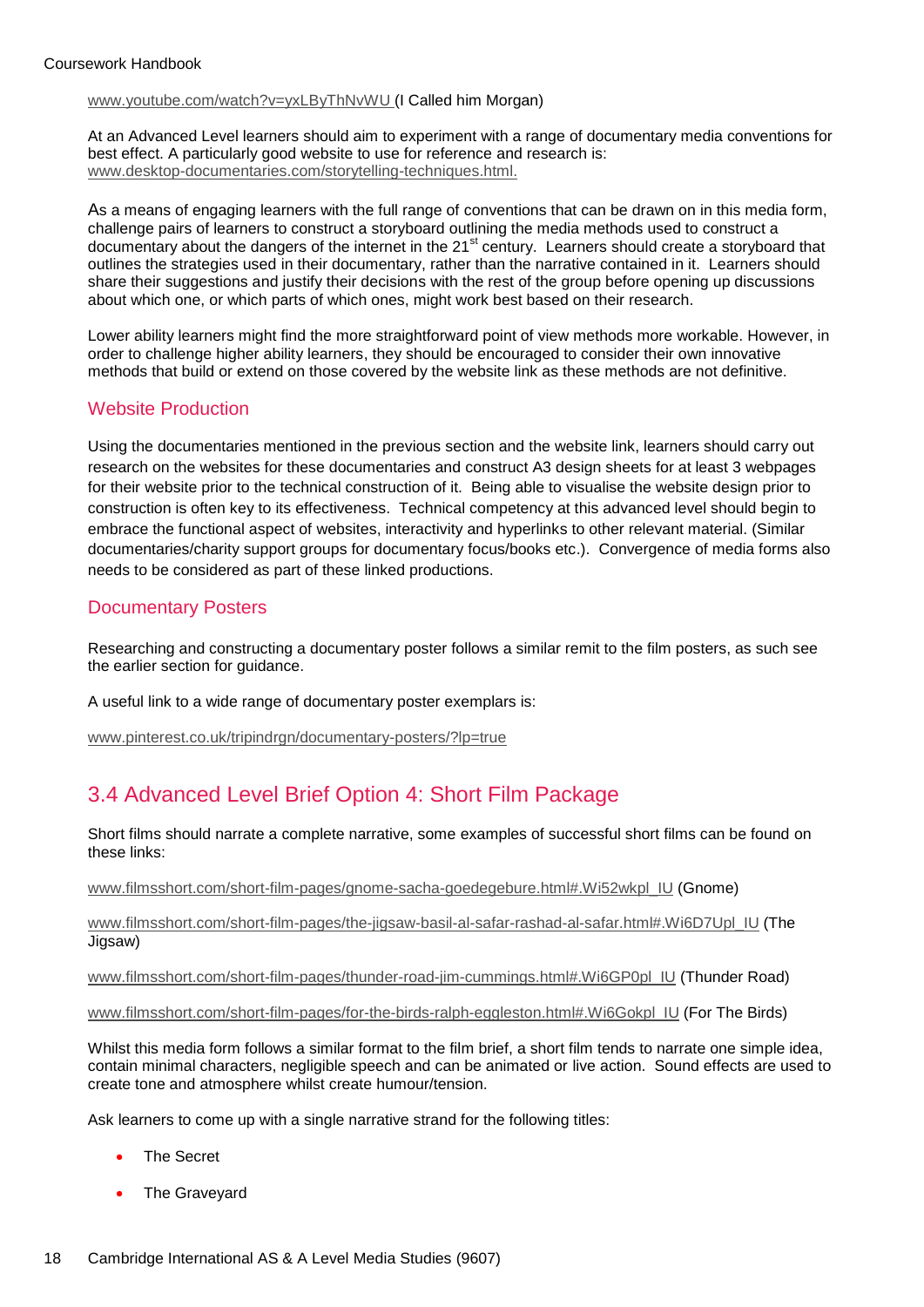[www.youtube.com/watch?v=yxLByThNvWU](http://www.youtube.com/watch?v=yxLByThNvWU) (I Called him Morgan)

At an Advanced Level learners should aim to experiment with a range of documentary media conventions for best effect. A particularly good website to use for reference and research is: [www.desktop-documentaries.com/storytelling-techniques.html.](http://www.desktop-documentaries.com/storytelling-techniques.html)

As a means of engaging learners with the full range of conventions that can be drawn on in this media form, challenge pairs of learners to construct a storyboard outlining the media methods used to construct a documentary about the dangers of the internet in the 21<sup>st</sup> century. Learners should create a storyboard that outlines the strategies used in their documentary, rather than the narrative contained in it. Learners should share their suggestions and justify their decisions with the rest of the group before opening up discussions about which one, or which parts of which ones, might work best based on their research.

Lower ability learners might find the more straightforward point of view methods more workable. However, in order to challenge higher ability learners, they should be encouraged to consider their own innovative methods that build or extend on those covered by the website link as these methods are not definitive.

### Website Production

Using the documentaries mentioned in the previous section and the website link, learners should carry out research on the websites for these documentaries and construct A3 design sheets for at least 3 webpages for their website prior to the technical construction of it. Being able to visualise the website design prior to construction is often key to its effectiveness. Technical competency at this advanced level should begin to embrace the functional aspect of websites, interactivity and hyperlinks to other relevant material. (Similar documentaries/charity support groups for documentary focus/books etc.). Convergence of media forms also needs to be considered as part of these linked productions.

### Documentary Posters

Researching and constructing a documentary poster follows a similar remit to the film posters, as such see the earlier section for guidance.

A useful link to a wide range of documentary poster exemplars is:

[www.pinterest.co.uk/tripindrgn/documentary-posters/?lp=true](http://www.pinterest.co.uk/tripindrgn/documentary-posters/?lp=true)

# 3.4 Advanced Level Brief Option 4: Short Film Package

Short films should narrate a complete narrative, some examples of successful short films can be found on these links:

[www.filmsshort.com/short-film-pages/gnome-sacha-goedegebure.html#.Wi52wkpl\\_IU](http://www.filmsshort.com/short-film-pages/gnome-sacha-goedegebure.html#.Wi52wkpl_IU) (Gnome)

[www.filmsshort.com/short-film-pages/the-jigsaw-basil-al-safar-rashad-al-safar.html#.Wi6D7Upl\\_IU](http://www.filmsshort.com/short-film-pages/the-jigsaw-basil-al-safar-rashad-al-safar.html#.Wi6D7Upl_IU) (The Jigsaw)

[www.filmsshort.com/short-film-pages/thunder-road-jim-cummings.html#.Wi6GP0pl\\_IU](http://www.filmsshort.com/short-film-pages/thunder-road-jim-cummings.html#.Wi6GP0pl_IU) (Thunder Road)

[www.filmsshort.com/short-film-pages/for-the-birds-ralph-eggleston.html#.Wi6Gokpl\\_IU](http://www.filmsshort.com/short-film-pages/for-the-birds-ralph-eggleston.html#.Wi6Gokpl_IU) (For The Birds)

Whilst this media form follows a similar format to the film brief, a short film tends to narrate one simple idea, contain minimal characters, negligible speech and can be animated or live action. Sound effects are used to create tone and atmosphere whilst create humour/tension.

Ask learners to come up with a single narrative strand for the following titles:

- The Secret
- The Graveyard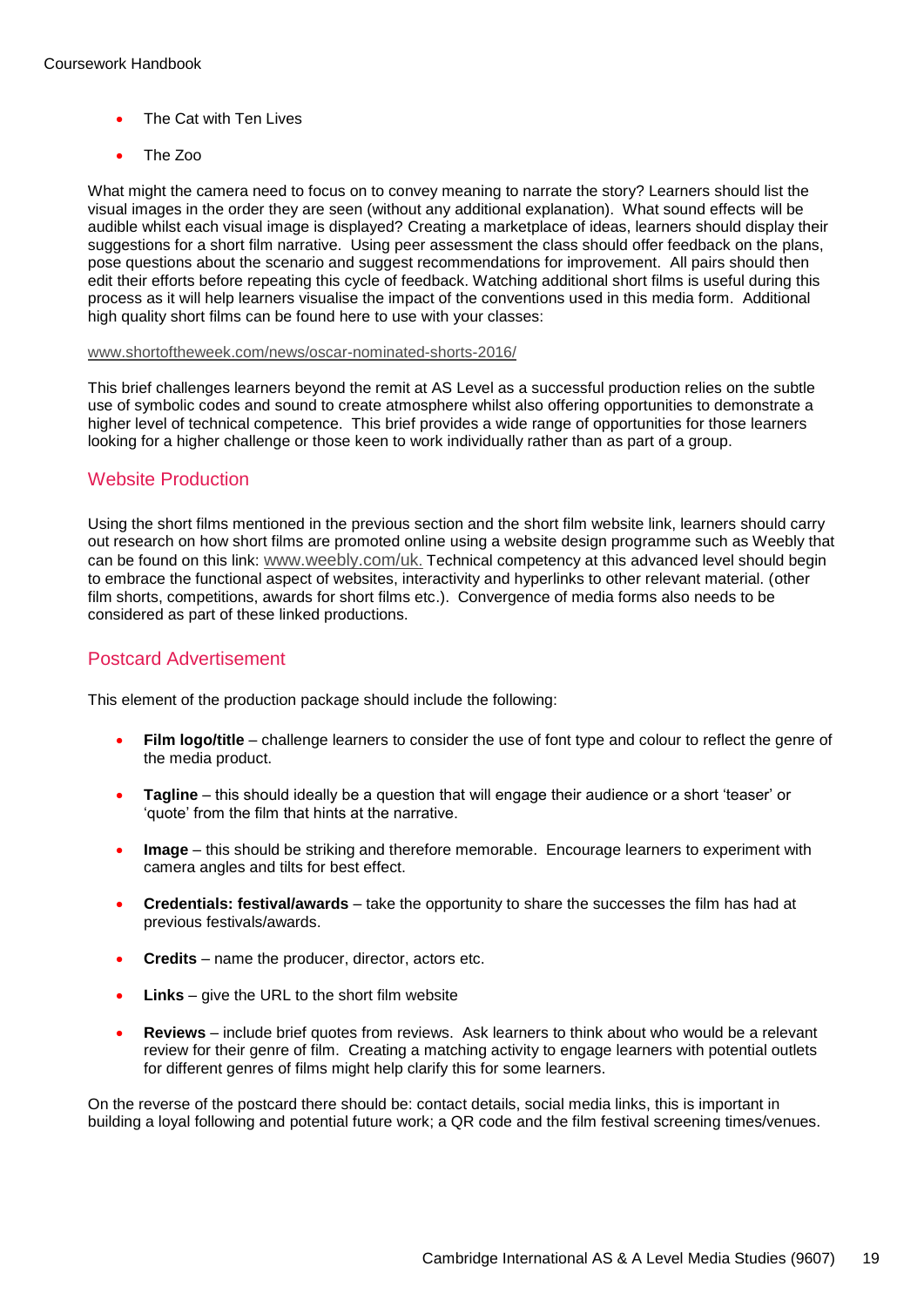- The Cat with Ten Lives
- The Zoo

What might the camera need to focus on to convey meaning to narrate the story? Learners should list the visual images in the order they are seen (without any additional explanation). What sound effects will be audible whilst each visual image is displayed? Creating a marketplace of ideas, learners should display their suggestions for a short film narrative. Using peer assessment the class should offer feedback on the plans, pose questions about the scenario and suggest recommendations for improvement. All pairs should then edit their efforts before repeating this cycle of feedback. Watching additional short films is useful during this process as it will help learners visualise the impact of the conventions used in this media form. Additional high quality short films can be found here to use with your classes:

#### [www.shortoftheweek.com/news/oscar-nominated-shorts-2016/](http://www.shortoftheweek.com/news/oscar-nominated-shorts-2016/)

This brief challenges learners beyond the remit at AS Level as a successful production relies on the subtle use of symbolic codes and sound to create atmosphere whilst also offering opportunities to demonstrate a higher level of technical competence. This brief provides a wide range of opportunities for those learners looking for a higher challenge or those keen to work individually rather than as part of a group.

### Website Production

Using the short films mentioned in the previous section and the short film website link, learners should carry out research on how short films are promoted online using a website design programme such as Weebly that can be found on this link: [www.weebly.com/uk](http://www.weebly.com/uk). Technical competency at this advanced level should begin to embrace the functional aspect of websites, interactivity and hyperlinks to other relevant material. (other film shorts, competitions, awards for short films etc.). Convergence of media forms also needs to be considered as part of these linked productions.

### Postcard Advertisement

This element of the production package should include the following:

- **Film logo/title** challenge learners to consider the use of font type and colour to reflect the genre of the media product.
- **Tagline** this should ideally be a question that will engage their audience or a short 'teaser' or 'quote' from the film that hints at the narrative.
- **Image** this should be striking and therefore memorable. Encourage learners to experiment with camera angles and tilts for best effect.
- **Credentials: festival/awards** take the opportunity to share the successes the film has had at previous festivals/awards.
- **Credits**  name the producer, director, actors etc.
- **Links** give the URL to the short film website
- **Reviews**  include brief quotes from reviews. Ask learners to think about who would be a relevant review for their genre of film. Creating a matching activity to engage learners with potential outlets for different genres of films might help clarify this for some learners.

On the reverse of the postcard there should be: contact details, social media links, this is important in building a loyal following and potential future work; a QR code and the film festival screening times/venues.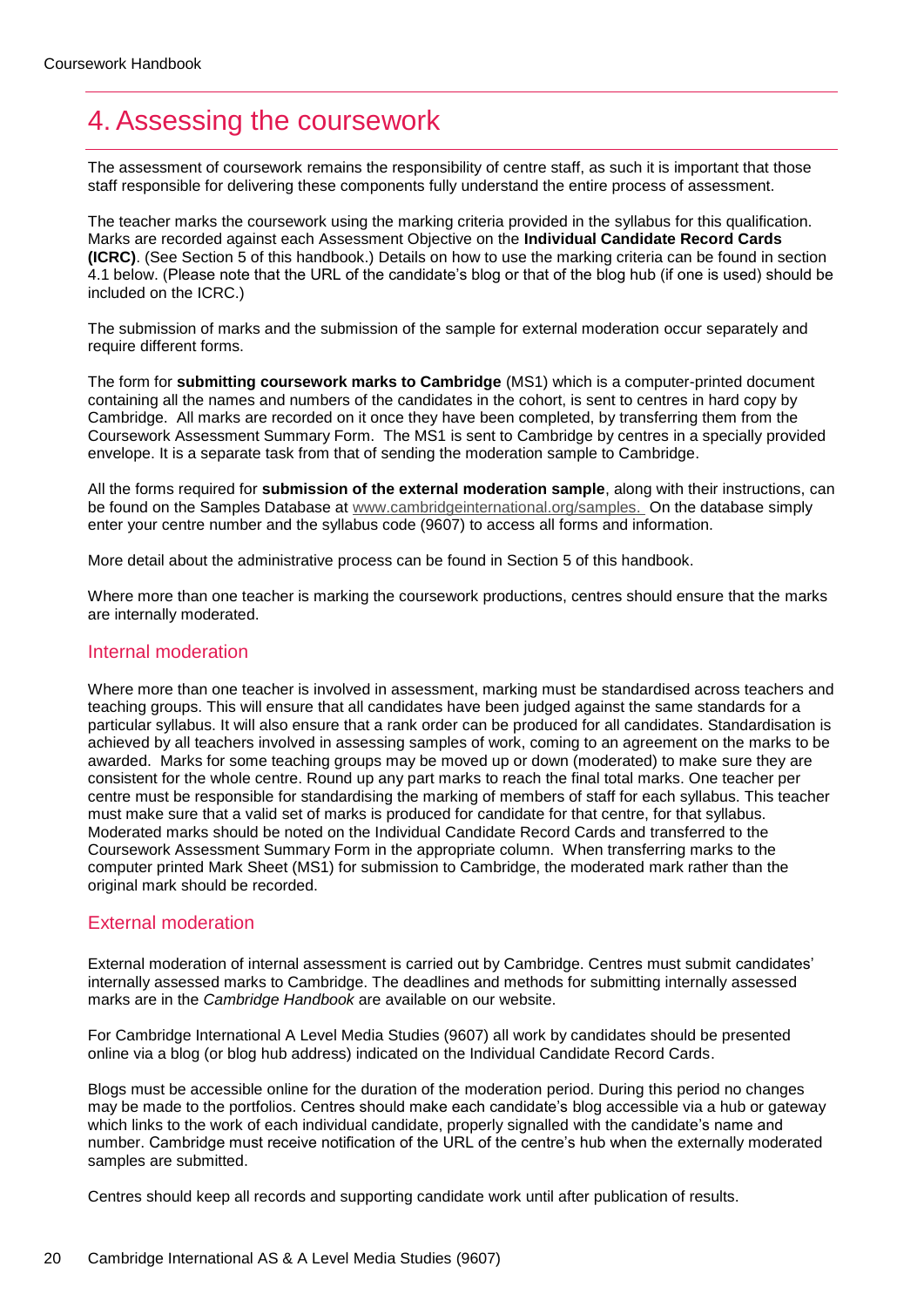# <span id="page-19-0"></span>4. Assessing the coursework

The assessment of coursework remains the responsibility of centre staff, as such it is important that those staff responsible for delivering these components fully understand the entire process of assessment.

The teacher marks the coursework using the marking criteria provided in the syllabus for this qualification. Marks are recorded against each Assessment Objective on the **Individual Candidate Record Cards (ICRC)**. (See Section 5 of this handbook.) Details on how to use the marking criteria can be found in section 4.1 below. (Please note that the URL of the candidate's blog or that of the blog hub (if one is used) should be included on the ICRC.)

The submission of marks and the submission of the sample for external moderation occur separately and require different forms.

The form for **submitting coursework marks to Cambridge** (MS1) which is a computer-printed document containing all the names and numbers of the candidates in the cohort, is sent to centres in hard copy by Cambridge. All marks are recorded on it once they have been completed, by transferring them from the Coursework Assessment Summary Form. The MS1 is sent to Cambridge by centres in a specially provided envelope. It is a separate task from that of sending the moderation sample to Cambridge.

All the forms required for **submission of the external moderation sample**, along with their instructions, can be found on the Samples Database at [www.cambridgeinternational.org/samples.](http://www.cambridgeinternational.org/samples) On the database simply enter your centre number and the syllabus code (9607) to access all forms and information.

More detail about the administrative process can be found in Section 5 of this handbook.

Where more than one teacher is marking the coursework productions, centres should ensure that the marks are internally moderated.

#### Internal moderation

Where more than one teacher is involved in assessment, marking must be standardised across teachers and teaching groups. This will ensure that all candidates have been judged against the same standards for a particular syllabus. It will also ensure that a rank order can be produced for all candidates. Standardisation is achieved by all teachers involved in assessing samples of work, coming to an agreement on the marks to be awarded. Marks for some teaching groups may be moved up or down (moderated) to make sure they are consistent for the whole centre. Round up any part marks to reach the final total marks. One teacher per centre must be responsible for standardising the marking of members of staff for each syllabus. This teacher must make sure that a valid set of marks is produced for candidate for that centre, for that syllabus. Moderated marks should be noted on the Individual Candidate Record Cards and transferred to the Coursework Assessment Summary Form in the appropriate column. When transferring marks to the computer printed Mark Sheet (MS1) for submission to Cambridge, the moderated mark rather than the original mark should be recorded.

### External moderation

External moderation of internal assessment is carried out by Cambridge. Centres must submit candidates' internally assessed marks to Cambridge. The deadlines and methods for submitting internally assessed marks are in the *Cambridge Handbook* are available on our website.

For Cambridge International A Level Media Studies (9607) all work by candidates should be presented online via a blog (or blog hub address) indicated on the Individual Candidate Record Cards.

Blogs must be accessible online for the duration of the moderation period. During this period no changes may be made to the portfolios. Centres should make each candidate's blog accessible via a hub or gateway which links to the work of each individual candidate, properly signalled with the candidate's name and number. Cambridge must receive notification of the URL of the centre's hub when the externally moderated samples are submitted.

Centres should keep all records and supporting candidate work until after publication of results.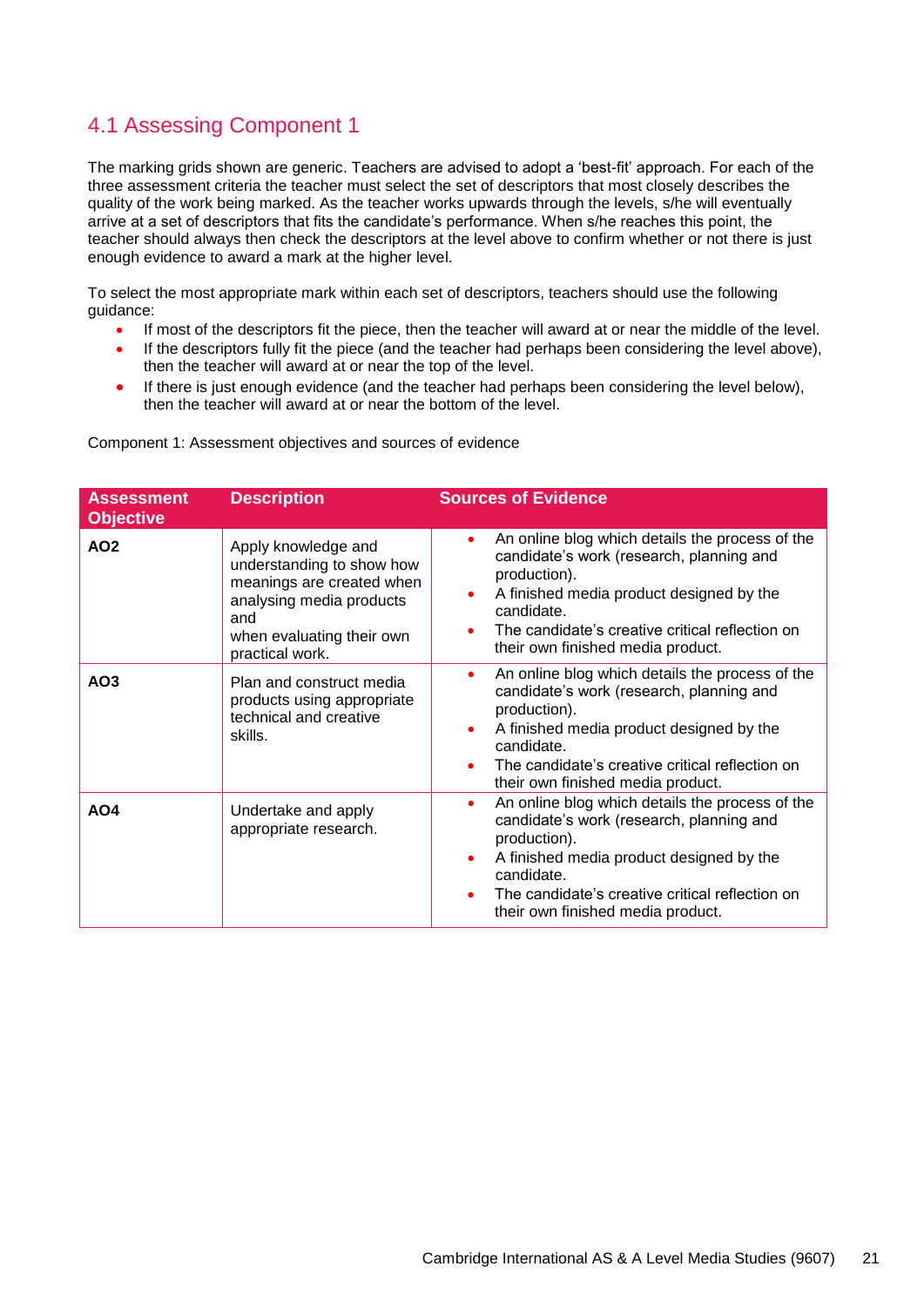# 4.1 Assessing Component 1

The marking grids shown are generic. Teachers are advised to adopt a 'best-fit' approach. For each of the three assessment criteria the teacher must select the set of descriptors that most closely describes the quality of the work being marked. As the teacher works upwards through the levels, s/he will eventually arrive at a set of descriptors that fits the candidate's performance. When s/he reaches this point, the teacher should always then check the descriptors at the level above to confirm whether or not there is just enough evidence to award a mark at the higher level.

To select the most appropriate mark within each set of descriptors, teachers should use the following guidance:

- If most of the descriptors fit the piece, then the teacher will award at or near the middle of the level.
- If the descriptors fully fit the piece (and the teacher had perhaps been considering the level above), then the teacher will award at or near the top of the level.
- If there is just enough evidence (and the teacher had perhaps been considering the level below), then the teacher will award at or near the bottom of the level.

| <b>Assessment</b><br><b>Objective</b> | <b>Description</b>                                                                                                                                               | <b>Sources of Evidence</b>                                                                                                                                                                                                                                                              |
|---------------------------------------|------------------------------------------------------------------------------------------------------------------------------------------------------------------|-----------------------------------------------------------------------------------------------------------------------------------------------------------------------------------------------------------------------------------------------------------------------------------------|
| AO <sub>2</sub>                       | Apply knowledge and<br>understanding to show how<br>meanings are created when<br>analysing media products<br>and<br>when evaluating their own<br>practical work. | An online blog which details the process of the<br>$\bullet$<br>candidate's work (research, planning and<br>production).<br>A finished media product designed by the<br>$\bullet$<br>candidate.<br>The candidate's creative critical reflection on<br>their own finished media product. |
| AO <sub>3</sub>                       | Plan and construct media<br>products using appropriate<br>technical and creative<br>skills.                                                                      | An online blog which details the process of the<br>٠<br>candidate's work (research, planning and<br>production).<br>A finished media product designed by the<br>candidate.<br>The candidate's creative critical reflection on<br>their own finished media product.                      |
| AO4                                   | Undertake and apply<br>appropriate research.                                                                                                                     | An online blog which details the process of the<br>٠<br>candidate's work (research, planning and<br>production).<br>A finished media product designed by the<br>$\bullet$<br>candidate.<br>The candidate's creative critical reflection on<br>their own finished media product.         |

Component 1: Assessment objectives and sources of evidence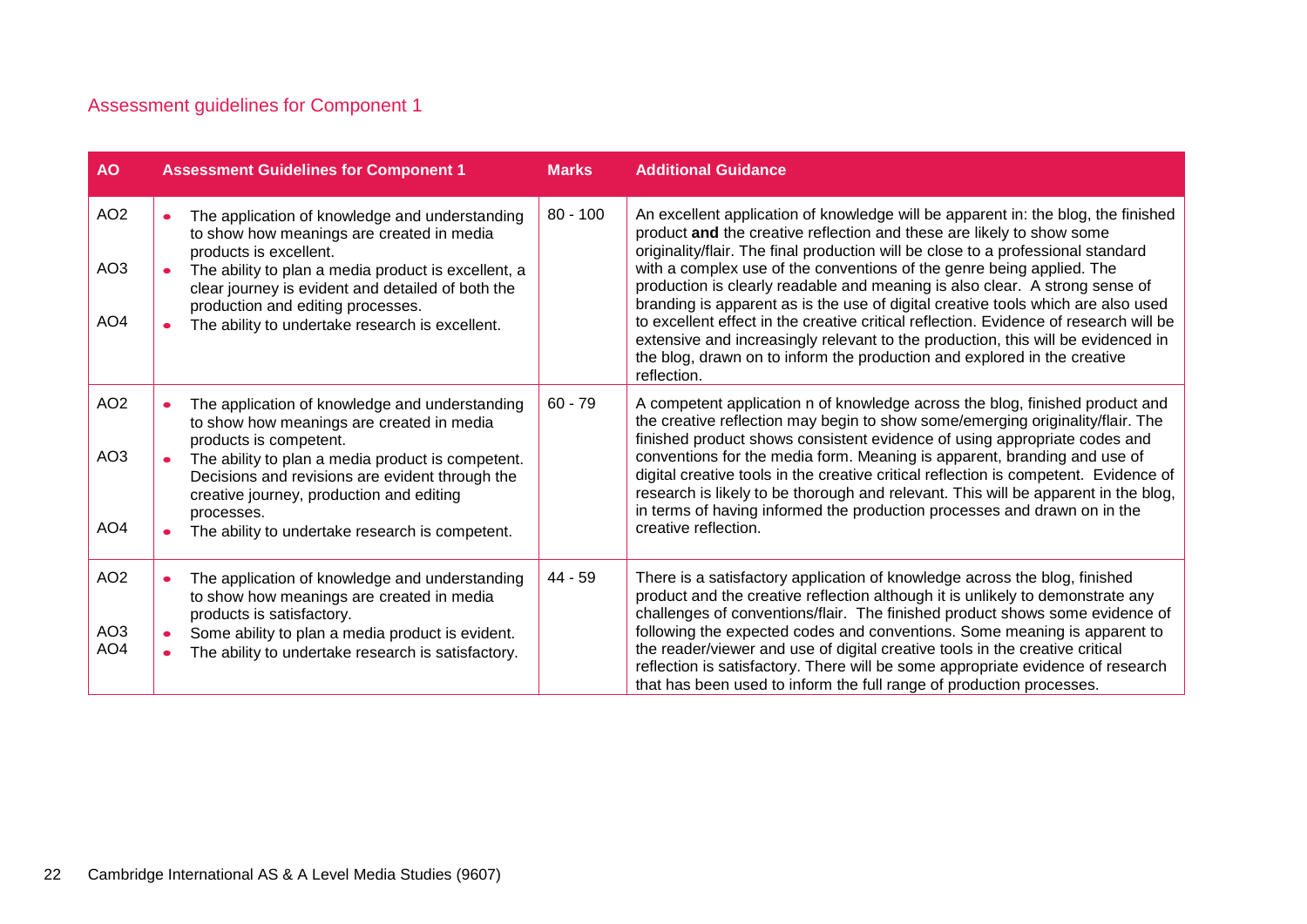# Assessment guidelines for Component 1

| <b>AO</b>       | <b>Assessment Guidelines for Component 1</b>                                                                                                                               | <b>Marks</b> | <b>Additional Guidance</b>                                                                                                                                                                                                                                                                                                         |
|-----------------|----------------------------------------------------------------------------------------------------------------------------------------------------------------------------|--------------|------------------------------------------------------------------------------------------------------------------------------------------------------------------------------------------------------------------------------------------------------------------------------------------------------------------------------------|
| AO <sub>2</sub> | The application of knowledge and understanding<br>$\bullet$<br>to show how meanings are created in media<br>products is excellent.                                         | $80 - 100$   | An excellent application of knowledge will be apparent in: the blog, the finished<br>product and the creative reflection and these are likely to show some<br>originality/flair. The final production will be close to a professional standard                                                                                     |
| AO <sub>3</sub> | The ability to plan a media product is excellent, a<br>clear journey is evident and detailed of both the<br>production and editing processes.                              |              | with a complex use of the conventions of the genre being applied. The<br>production is clearly readable and meaning is also clear. A strong sense of<br>branding is apparent as is the use of digital creative tools which are also used                                                                                           |
| AO <sub>4</sub> | The ability to undertake research is excellent.                                                                                                                            |              | to excellent effect in the creative critical reflection. Evidence of research will be<br>extensive and increasingly relevant to the production, this will be evidenced in<br>the blog, drawn on to inform the production and explored in the creative<br>reflection.                                                               |
| AO <sub>2</sub> | The application of knowledge and understanding<br>to show how meanings are created in media                                                                                | $60 - 79$    | A competent application n of knowledge across the blog, finished product and<br>the creative reflection may begin to show some/emerging originality/flair. The<br>finished product shows consistent evidence of using appropriate codes and                                                                                        |
| AO <sub>3</sub> | products is competent.<br>The ability to plan a media product is competent.<br>Decisions and revisions are evident through the<br>creative journey, production and editing |              | conventions for the media form. Meaning is apparent, branding and use of<br>digital creative tools in the creative critical reflection is competent. Evidence of<br>research is likely to be thorough and relevant. This will be apparent in the blog,<br>in terms of having informed the production processes and drawn on in the |
| AO <sub>4</sub> | processes.<br>The ability to undertake research is competent.                                                                                                              |              | creative reflection.                                                                                                                                                                                                                                                                                                               |
| AO <sub>2</sub> | The application of knowledge and understanding<br>to show how meanings are created in media                                                                                | 44 - 59      | There is a satisfactory application of knowledge across the blog, finished<br>product and the creative reflection although it is unlikely to demonstrate any                                                                                                                                                                       |
| AO <sub>3</sub> | products is satisfactory.<br>Some ability to plan a media product is evident.                                                                                              |              | challenges of conventions/flair. The finished product shows some evidence of<br>following the expected codes and conventions. Some meaning is apparent to                                                                                                                                                                          |
| AO <sub>4</sub> | The ability to undertake research is satisfactory.                                                                                                                         |              | the reader/viewer and use of digital creative tools in the creative critical<br>reflection is satisfactory. There will be some appropriate evidence of research<br>that has been used to inform the full range of production processes.                                                                                            |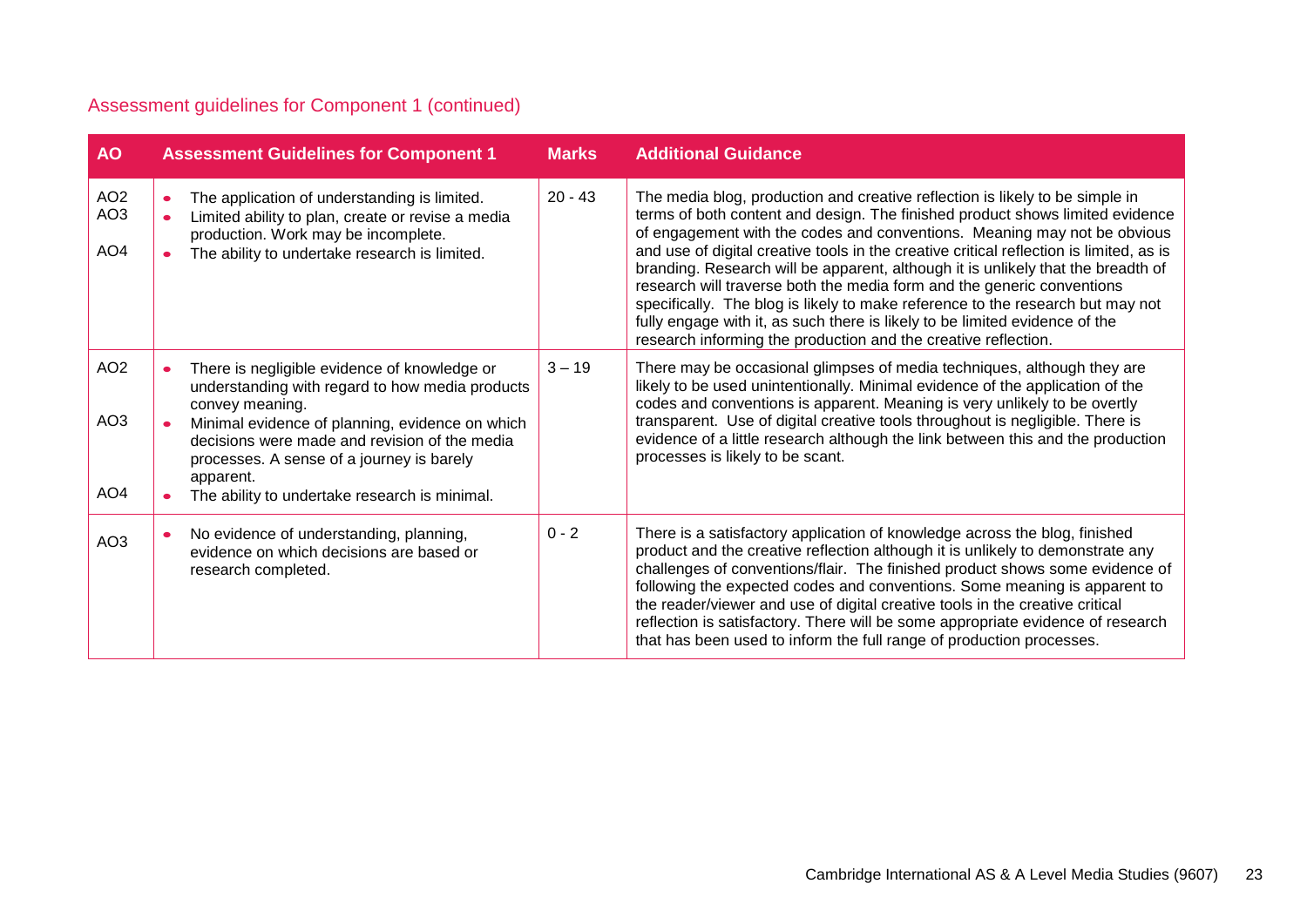# Assessment guidelines for Component 1 (continued)

| <b>AO</b>                                             | <b>Assessment Guidelines for Component 1</b>                                                                                                                                                                                                                                                                                      | <b>Marks</b> | <b>Additional Guidance</b>                                                                                                                                                                                                                                                                                                                                                                                                                                                                                                                                                                                                                                                                                                            |
|-------------------------------------------------------|-----------------------------------------------------------------------------------------------------------------------------------------------------------------------------------------------------------------------------------------------------------------------------------------------------------------------------------|--------------|---------------------------------------------------------------------------------------------------------------------------------------------------------------------------------------------------------------------------------------------------------------------------------------------------------------------------------------------------------------------------------------------------------------------------------------------------------------------------------------------------------------------------------------------------------------------------------------------------------------------------------------------------------------------------------------------------------------------------------------|
| AO <sub>2</sub><br>AO <sub>3</sub><br>AO <sub>4</sub> | The application of understanding is limited.<br>Limited ability to plan, create or revise a media<br>$\bullet$<br>production. Work may be incomplete.<br>The ability to undertake research is limited.                                                                                                                            | $20 - 43$    | The media blog, production and creative reflection is likely to be simple in<br>terms of both content and design. The finished product shows limited evidence<br>of engagement with the codes and conventions. Meaning may not be obvious<br>and use of digital creative tools in the creative critical reflection is limited, as is<br>branding. Research will be apparent, although it is unlikely that the breadth of<br>research will traverse both the media form and the generic conventions<br>specifically. The blog is likely to make reference to the research but may not<br>fully engage with it, as such there is likely to be limited evidence of the<br>research informing the production and the creative reflection. |
| AO <sub>2</sub><br>AO <sub>3</sub><br>AO <sub>4</sub> | There is negligible evidence of knowledge or<br>understanding with regard to how media products<br>convey meaning.<br>Minimal evidence of planning, evidence on which<br>decisions were made and revision of the media<br>processes. A sense of a journey is barely<br>apparent.<br>The ability to undertake research is minimal. | $3 - 19$     | There may be occasional glimpses of media techniques, although they are<br>likely to be used unintentionally. Minimal evidence of the application of the<br>codes and conventions is apparent. Meaning is very unlikely to be overtly<br>transparent. Use of digital creative tools throughout is negligible. There is<br>evidence of a little research although the link between this and the production<br>processes is likely to be scant.                                                                                                                                                                                                                                                                                         |
| AO <sub>3</sub>                                       | No evidence of understanding, planning,<br>evidence on which decisions are based or<br>research completed.                                                                                                                                                                                                                        | $0 - 2$      | There is a satisfactory application of knowledge across the blog, finished<br>product and the creative reflection although it is unlikely to demonstrate any<br>challenges of conventions/flair. The finished product shows some evidence of<br>following the expected codes and conventions. Some meaning is apparent to<br>the reader/viewer and use of digital creative tools in the creative critical<br>reflection is satisfactory. There will be some appropriate evidence of research<br>that has been used to inform the full range of production processes.                                                                                                                                                                  |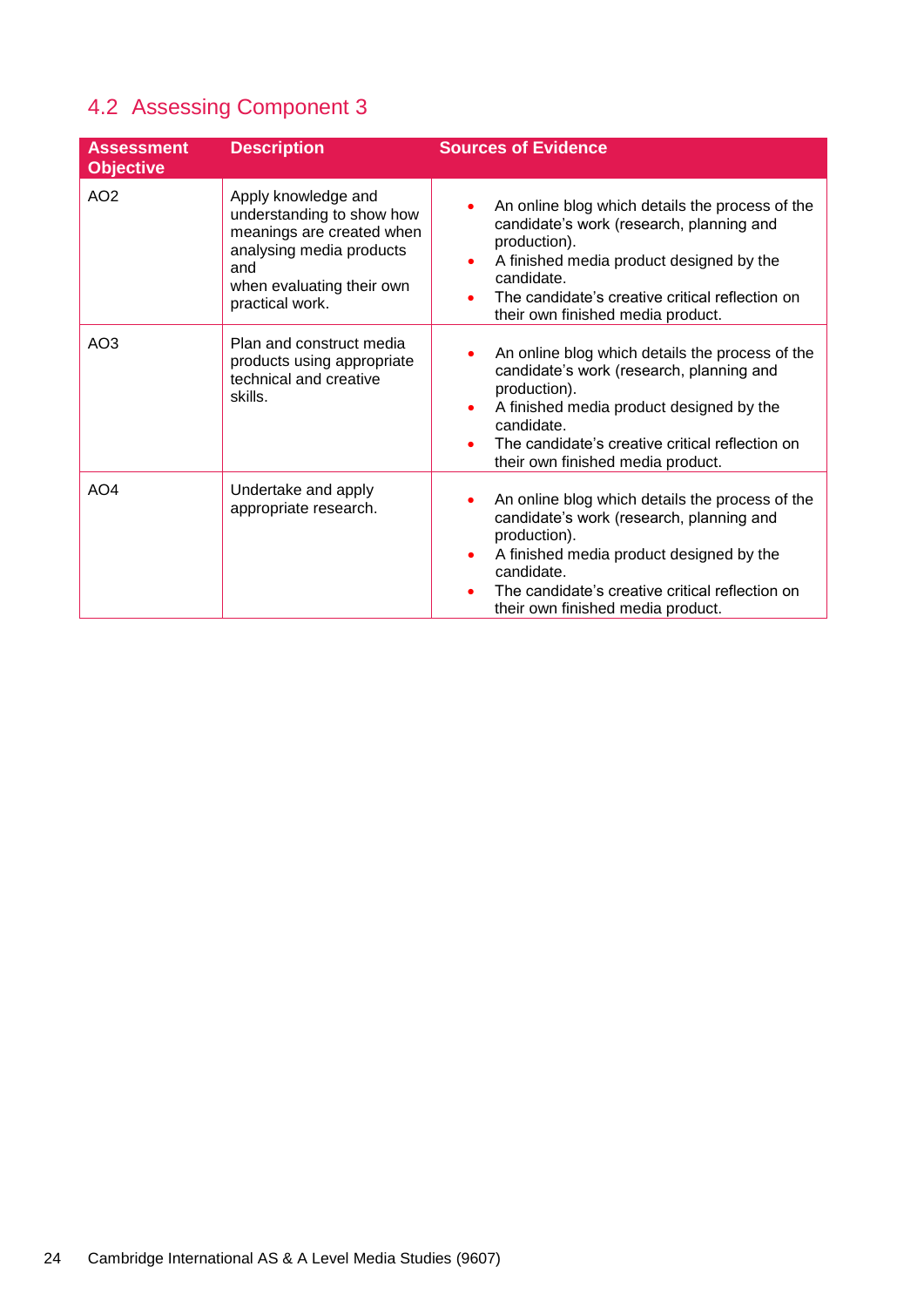# 4.2 Assessing Component 3

| <b>Assessment</b><br><b>Objective</b> | <b>Description</b>                                                                                                                                               | <b>Sources of Evidence</b>                                                                                                                                                                                                                                                           |
|---------------------------------------|------------------------------------------------------------------------------------------------------------------------------------------------------------------|--------------------------------------------------------------------------------------------------------------------------------------------------------------------------------------------------------------------------------------------------------------------------------------|
| AO <sub>2</sub>                       | Apply knowledge and<br>understanding to show how<br>meanings are created when<br>analysing media products<br>and<br>when evaluating their own<br>practical work. | An online blog which details the process of the<br>candidate's work (research, planning and<br>production).<br>A finished media product designed by the<br>٠<br>candidate.<br>The candidate's creative critical reflection on<br>their own finished media product.                   |
| AO <sub>3</sub>                       | Plan and construct media<br>products using appropriate<br>technical and creative<br>skills.                                                                      | An online blog which details the process of the<br>candidate's work (research, planning and<br>production).<br>A finished media product designed by the<br>$\bullet$<br>candidate.<br>The candidate's creative critical reflection on<br>their own finished media product.           |
| AO <sub>4</sub>                       | Undertake and apply<br>appropriate research.                                                                                                                     | An online blog which details the process of the<br>٠<br>candidate's work (research, planning and<br>production).<br>A finished media product designed by the<br>٠<br>candidate.<br>The candidate's creative critical reflection on<br>$\bullet$<br>their own finished media product. |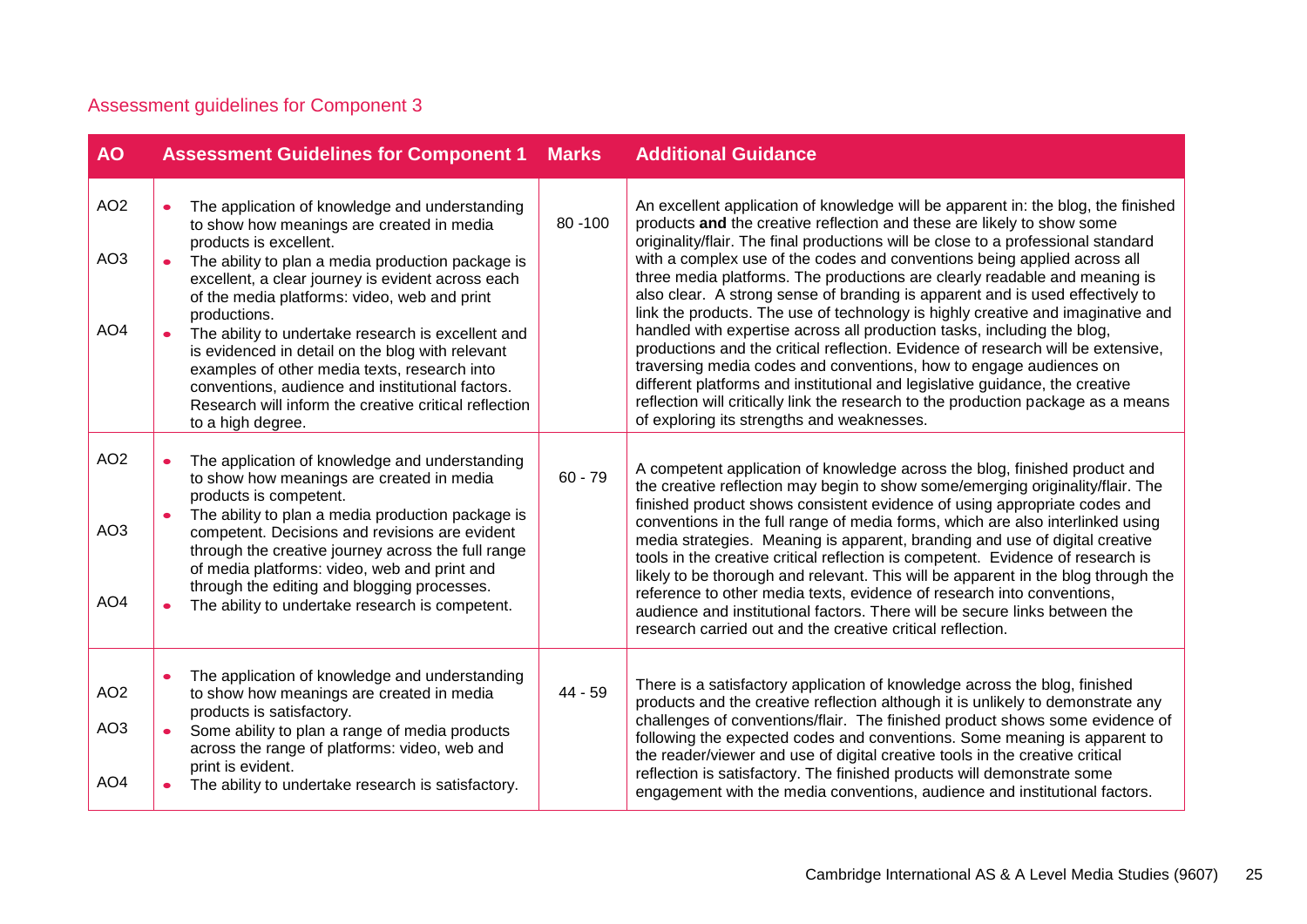# Assessment guidelines for Component 3

| <b>AO</b>                                             | <b>Assessment Guidelines for Component 1</b>                                                                                                                                                                                                                                                                                                                                                                                                                                                                                                                                                | <b>Marks</b> | <b>Additional Guidance</b>                                                                                                                                                                                                                                                                                                                                                                                                                                                                                                                                                                                                                                                                                                                                                                                                                                                                                                                                                                                                             |
|-------------------------------------------------------|---------------------------------------------------------------------------------------------------------------------------------------------------------------------------------------------------------------------------------------------------------------------------------------------------------------------------------------------------------------------------------------------------------------------------------------------------------------------------------------------------------------------------------------------------------------------------------------------|--------------|----------------------------------------------------------------------------------------------------------------------------------------------------------------------------------------------------------------------------------------------------------------------------------------------------------------------------------------------------------------------------------------------------------------------------------------------------------------------------------------------------------------------------------------------------------------------------------------------------------------------------------------------------------------------------------------------------------------------------------------------------------------------------------------------------------------------------------------------------------------------------------------------------------------------------------------------------------------------------------------------------------------------------------------|
| AO <sub>2</sub><br>AO <sub>3</sub><br>AO <sub>4</sub> | The application of knowledge and understanding<br>to show how meanings are created in media<br>products is excellent.<br>The ability to plan a media production package is<br>excellent, a clear journey is evident across each<br>of the media platforms: video, web and print<br>productions.<br>The ability to undertake research is excellent and<br>is evidenced in detail on the blog with relevant<br>examples of other media texts, research into<br>conventions, audience and institutional factors.<br>Research will inform the creative critical reflection<br>to a high degree. | $80 - 100$   | An excellent application of knowledge will be apparent in: the blog, the finished<br>products and the creative reflection and these are likely to show some<br>originality/flair. The final productions will be close to a professional standard<br>with a complex use of the codes and conventions being applied across all<br>three media platforms. The productions are clearly readable and meaning is<br>also clear. A strong sense of branding is apparent and is used effectively to<br>link the products. The use of technology is highly creative and imaginative and<br>handled with expertise across all production tasks, including the blog,<br>productions and the critical reflection. Evidence of research will be extensive,<br>traversing media codes and conventions, how to engage audiences on<br>different platforms and institutional and legislative guidance, the creative<br>reflection will critically link the research to the production package as a means<br>of exploring its strengths and weaknesses. |
| AO <sub>2</sub><br>AO <sub>3</sub><br>AO <sub>4</sub> | The application of knowledge and understanding<br>to show how meanings are created in media<br>products is competent.<br>The ability to plan a media production package is<br>competent. Decisions and revisions are evident<br>through the creative journey across the full range<br>of media platforms: video, web and print and<br>through the editing and blogging processes.<br>The ability to undertake research is competent.                                                                                                                                                        | $60 - 79$    | A competent application of knowledge across the blog, finished product and<br>the creative reflection may begin to show some/emerging originality/flair. The<br>finished product shows consistent evidence of using appropriate codes and<br>conventions in the full range of media forms, which are also interlinked using<br>media strategies. Meaning is apparent, branding and use of digital creative<br>tools in the creative critical reflection is competent. Evidence of research is<br>likely to be thorough and relevant. This will be apparent in the blog through the<br>reference to other media texts, evidence of research into conventions,<br>audience and institutional factors. There will be secure links between the<br>research carried out and the creative critical reflection.                                                                                                                                                                                                                               |
| AO <sub>2</sub><br>AO <sub>3</sub><br>AO <sub>4</sub> | The application of knowledge and understanding<br>to show how meanings are created in media<br>products is satisfactory.<br>Some ability to plan a range of media products<br>across the range of platforms: video, web and<br>print is evident.<br>The ability to undertake research is satisfactory.                                                                                                                                                                                                                                                                                      | 44 - 59      | There is a satisfactory application of knowledge across the blog, finished<br>products and the creative reflection although it is unlikely to demonstrate any<br>challenges of conventions/flair. The finished product shows some evidence of<br>following the expected codes and conventions. Some meaning is apparent to<br>the reader/viewer and use of digital creative tools in the creative critical<br>reflection is satisfactory. The finished products will demonstrate some<br>engagement with the media conventions, audience and institutional factors.                                                                                                                                                                                                                                                                                                                                                                                                                                                                    |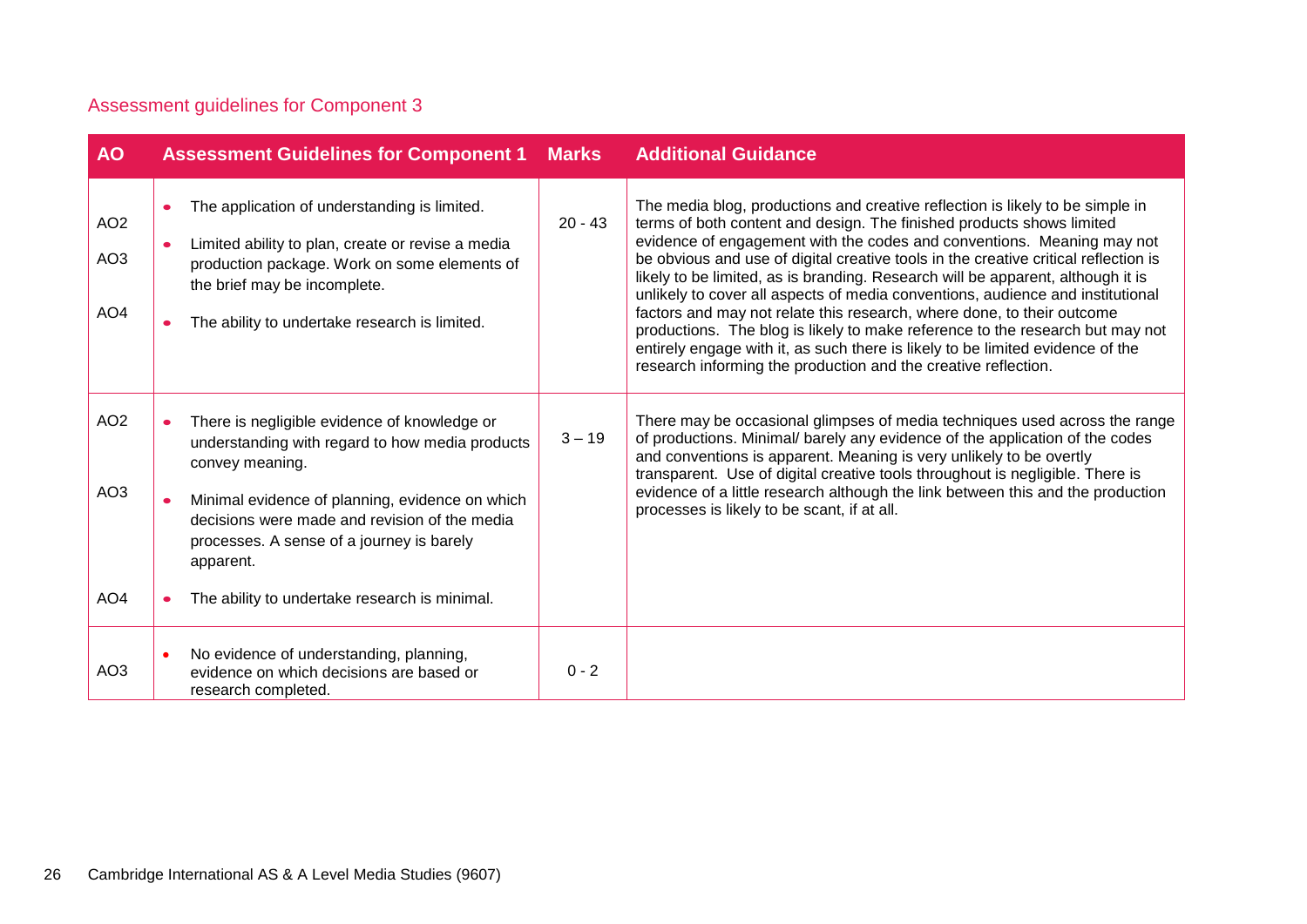# Assessment guidelines for Component 3

| <b>AO</b>                                             | <b>Assessment Guidelines for Component 1</b>                                                                                                                                                                                                                        | <b>Marks</b> | <b>Additional Guidance</b>                                                                                                                                                                                                                                                                                                                                                                                                                                                                                                                                                                                                                                                                                                                                                                                  |
|-------------------------------------------------------|---------------------------------------------------------------------------------------------------------------------------------------------------------------------------------------------------------------------------------------------------------------------|--------------|-------------------------------------------------------------------------------------------------------------------------------------------------------------------------------------------------------------------------------------------------------------------------------------------------------------------------------------------------------------------------------------------------------------------------------------------------------------------------------------------------------------------------------------------------------------------------------------------------------------------------------------------------------------------------------------------------------------------------------------------------------------------------------------------------------------|
| AO <sub>2</sub><br>AO <sub>3</sub><br>AO <sub>4</sub> | The application of understanding is limited.<br>$\bullet$<br>Limited ability to plan, create or revise a media<br>$\bullet$<br>production package. Work on some elements of<br>the brief may be incomplete.<br>The ability to undertake research is limited.        | $20 - 43$    | The media blog, productions and creative reflection is likely to be simple in<br>terms of both content and design. The finished products shows limited<br>evidence of engagement with the codes and conventions. Meaning may not<br>be obvious and use of digital creative tools in the creative critical reflection is<br>likely to be limited, as is branding. Research will be apparent, although it is<br>unlikely to cover all aspects of media conventions, audience and institutional<br>factors and may not relate this research, where done, to their outcome<br>productions. The blog is likely to make reference to the research but may not<br>entirely engage with it, as such there is likely to be limited evidence of the<br>research informing the production and the creative reflection. |
| AO <sub>2</sub><br>AO <sub>3</sub>                    | There is negligible evidence of knowledge or<br>understanding with regard to how media products<br>convey meaning.<br>Minimal evidence of planning, evidence on which<br>decisions were made and revision of the media<br>processes. A sense of a journey is barely | $3 - 19$     | There may be occasional glimpses of media techniques used across the range<br>of productions. Minimal/ barely any evidence of the application of the codes<br>and conventions is apparent. Meaning is very unlikely to be overtly<br>transparent. Use of digital creative tools throughout is negligible. There is<br>evidence of a little research although the link between this and the production<br>processes is likely to be scant, if at all.                                                                                                                                                                                                                                                                                                                                                        |
| AO <sub>4</sub>                                       | apparent.<br>The ability to undertake research is minimal.                                                                                                                                                                                                          |              |                                                                                                                                                                                                                                                                                                                                                                                                                                                                                                                                                                                                                                                                                                                                                                                                             |
| AO <sub>3</sub>                                       | No evidence of understanding, planning,<br>evidence on which decisions are based or<br>research completed.                                                                                                                                                          | $0 - 2$      |                                                                                                                                                                                                                                                                                                                                                                                                                                                                                                                                                                                                                                                                                                                                                                                                             |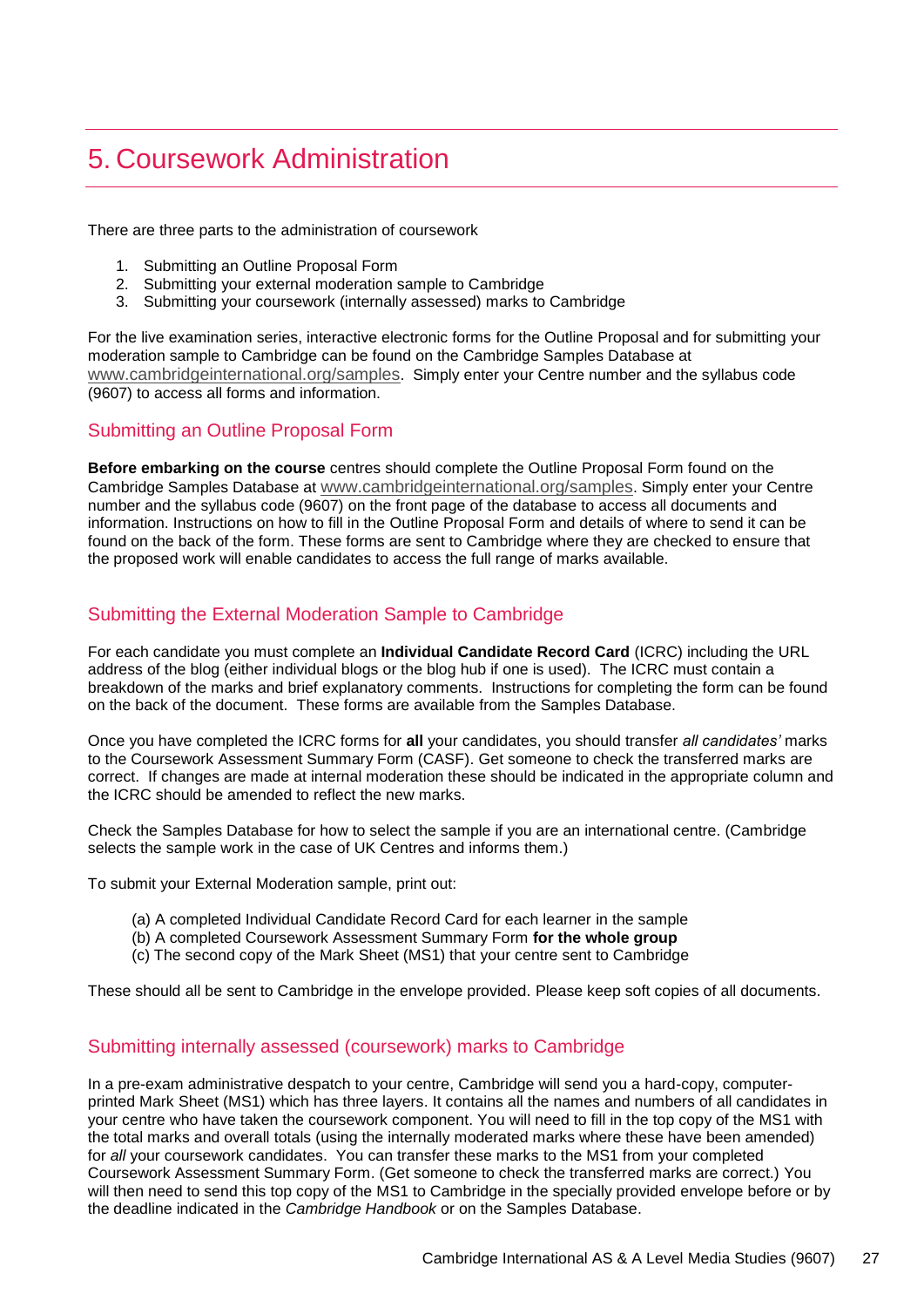# <span id="page-26-0"></span>5. Coursework Administration

There are three parts to the administration of coursework

- 1. Submitting an Outline Proposal Form
- 2. Submitting your external moderation sample to Cambridge
- 3. Submitting your coursework (internally assessed) marks to Cambridge

For the live examination series, interactive electronic forms for the Outline Proposal and for submitting your moderation sample to Cambridge can be found on the Cambridge Samples Database at [www.cambridgeinternational.org/samples](http://www.cambridgeinternational.org/samples). Simply enter your Centre number and the syllabus code (9607) to access all forms and information.

### Submitting an Outline Proposal Form

**Before embarking on the course** centres should complete the Outline Proposal Form found on the Cambridge Samples Database at [www.cambridgeinternational.org/samples](http://www.cambridgeinternational.org/samples). Simply enter your Centre number and the syllabus code (9607) on the front page of the database to access all documents and information. Instructions on how to fill in the Outline Proposal Form and details of where to send it can be found on the back of the form. These forms are sent to Cambridge where they are checked to ensure that the proposed work will enable candidates to access the full range of marks available.

### Submitting the External Moderation Sample to Cambridge

For each candidate you must complete an **Individual Candidate Record Card** (ICRC) including the URL address of the blog (either individual blogs or the blog hub if one is used). The ICRC must contain a breakdown of the marks and brief explanatory comments. Instructions for completing the form can be found on the back of the document. These forms are available from the Samples Database.

Once you have completed the ICRC forms for **all** your candidates, you should transfer *all candidates'* marks to the Coursework Assessment Summary Form (CASF). Get someone to check the transferred marks are correct. If changes are made at internal moderation these should be indicated in the appropriate column and the ICRC should be amended to reflect the new marks.

Check the Samples Database for how to select the sample if you are an international centre. (Cambridge selects the sample work in the case of UK Centres and informs them.)

To submit your External Moderation sample, print out:

- (a) A completed Individual Candidate Record Card for each learner in the sample
- (b) A completed Coursework Assessment Summary Form **for the whole group**
- (c) The second copy of the Mark Sheet (MS1) that your centre sent to Cambridge

These should all be sent to Cambridge in the envelope provided. Please keep soft copies of all documents.

### Submitting internally assessed (coursework) marks to Cambridge

In a pre-exam administrative despatch to your centre, Cambridge will send you a hard-copy, computerprinted Mark Sheet (MS1) which has three layers. It contains all the names and numbers of all candidates in your centre who have taken the coursework component. You will need to fill in the top copy of the MS1 with the total marks and overall totals (using the internally moderated marks where these have been amended) for *all* your coursework candidates. You can transfer these marks to the MS1 from your completed Coursework Assessment Summary Form. (Get someone to check the transferred marks are correct.) You will then need to send this top copy of the MS1 to Cambridge in the specially provided envelope before or by the deadline indicated in the *Cambridge Handbook* or on the Samples Database.